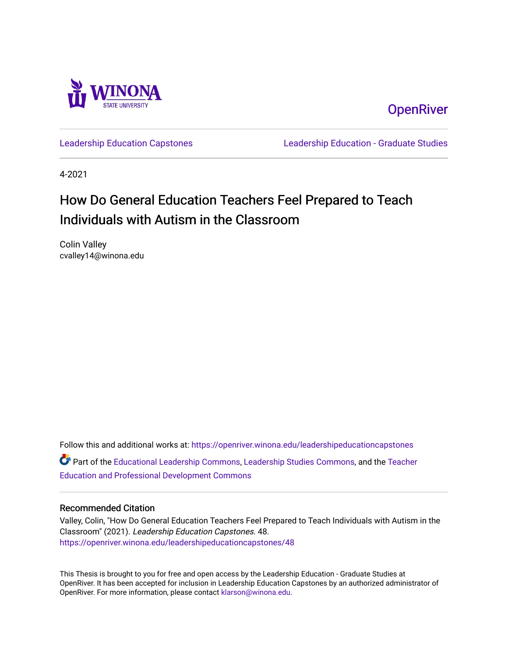

**OpenRiver** 

[Leadership Education Capstones](https://openriver.winona.edu/leadershipeducationcapstones) [Leadership Education - Graduate Studies](https://openriver.winona.edu/leadershipeducation) 

4-2021

# How Do General Education Teachers Feel Prepared to Teach Individuals with Autism in the Classroom

Colin Valley cvalley14@winona.edu

Follow this and additional works at: [https://openriver.winona.edu/leadershipeducationcapstones](https://openriver.winona.edu/leadershipeducationcapstones?utm_source=openriver.winona.edu%2Fleadershipeducationcapstones%2F48&utm_medium=PDF&utm_campaign=PDFCoverPages)  Part of the [Educational Leadership Commons,](http://network.bepress.com/hgg/discipline/1230?utm_source=openriver.winona.edu%2Fleadershipeducationcapstones%2F48&utm_medium=PDF&utm_campaign=PDFCoverPages) [Leadership Studies Commons,](http://network.bepress.com/hgg/discipline/1250?utm_source=openriver.winona.edu%2Fleadershipeducationcapstones%2F48&utm_medium=PDF&utm_campaign=PDFCoverPages) and the [Teacher](http://network.bepress.com/hgg/discipline/803?utm_source=openriver.winona.edu%2Fleadershipeducationcapstones%2F48&utm_medium=PDF&utm_campaign=PDFCoverPages) [Education and Professional Development Commons](http://network.bepress.com/hgg/discipline/803?utm_source=openriver.winona.edu%2Fleadershipeducationcapstones%2F48&utm_medium=PDF&utm_campaign=PDFCoverPages)

## Recommended Citation

Valley, Colin, "How Do General Education Teachers Feel Prepared to Teach Individuals with Autism in the Classroom" (2021). Leadership Education Capstones. 48. [https://openriver.winona.edu/leadershipeducationcapstones/48](https://openriver.winona.edu/leadershipeducationcapstones/48?utm_source=openriver.winona.edu%2Fleadershipeducationcapstones%2F48&utm_medium=PDF&utm_campaign=PDFCoverPages) 

This Thesis is brought to you for free and open access by the Leadership Education - Graduate Studies at OpenRiver. It has been accepted for inclusion in Leadership Education Capstones by an authorized administrator of OpenRiver. For more information, please contact [klarson@winona.edu](mailto:klarson@winona.edu).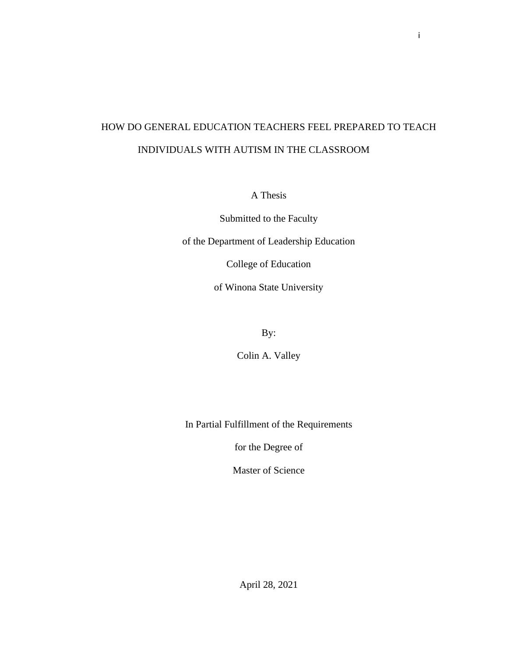# HOW DO GENERAL EDUCATION TEACHERS FEEL PREPARED TO TEACH INDIVIDUALS WITH AUTISM IN THE CLASSROOM

A Thesis

Submitted to the Faculty

of the Department of Leadership Education

College of Education

of Winona State University

By:

Colin A. Valley

In Partial Fulfillment of the Requirements

for the Degree of

Master of Science

April 28, 2021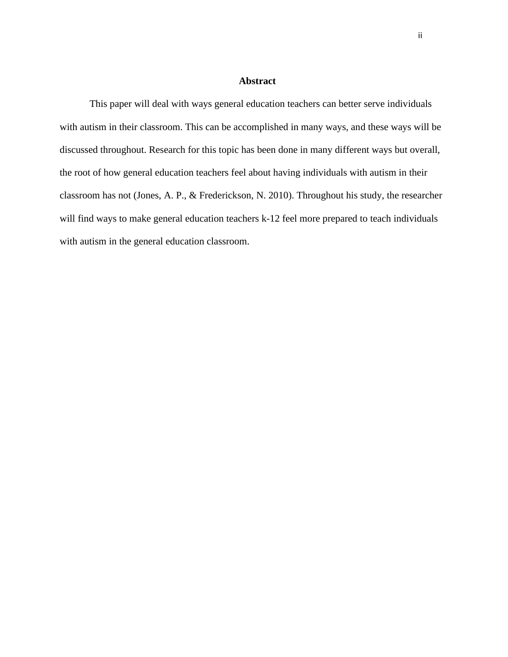## **Abstract**

<span id="page-2-0"></span>This paper will deal with ways general education teachers can better serve individuals with autism in their classroom. This can be accomplished in many ways, and these ways will be discussed throughout. Research for this topic has been done in many different ways but overall, the root of how general education teachers feel about having individuals with autism in their classroom has not (Jones, A. P., & Frederickson, N. 2010). Throughout his study, the researcher will find ways to make general education teachers k-12 feel more prepared to teach individuals with autism in the general education classroom.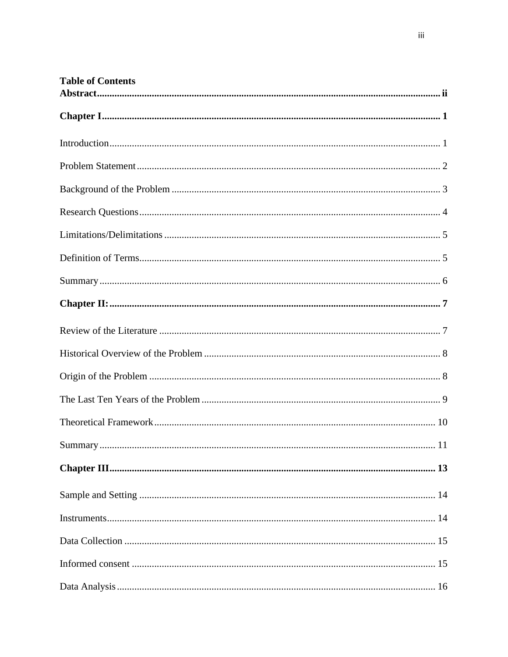| <b>Table of Contents</b> |  |  |
|--------------------------|--|--|
|                          |  |  |
|                          |  |  |
|                          |  |  |
|                          |  |  |
|                          |  |  |
|                          |  |  |
|                          |  |  |
|                          |  |  |
|                          |  |  |
|                          |  |  |
|                          |  |  |
|                          |  |  |
|                          |  |  |
|                          |  |  |
| Summary.<br>11           |  |  |
|                          |  |  |
|                          |  |  |
|                          |  |  |
|                          |  |  |
|                          |  |  |
|                          |  |  |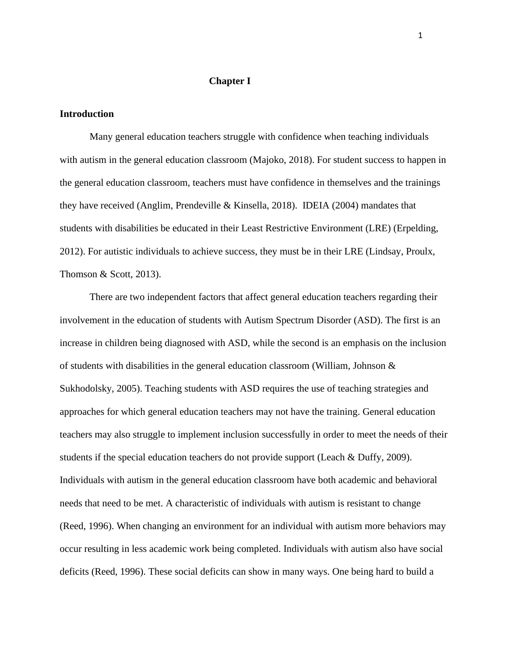#### **Chapter I**

## <span id="page-6-1"></span><span id="page-6-0"></span>**Introduction**

Many general education teachers struggle with confidence when teaching individuals with autism in the general education classroom (Majoko, 2018). For student success to happen in the general education classroom, teachers must have confidence in themselves and the trainings they have received (Anglim, Prendeville & Kinsella, 2018). IDEIA (2004) mandates that students with disabilities be educated in their Least Restrictive Environment (LRE) (Erpelding, 2012). For autistic individuals to achieve success, they must be in their LRE (Lindsay, Proulx, Thomson & Scott, 2013).

There are two independent factors that affect general education teachers regarding their involvement in the education of students with Autism Spectrum Disorder (ASD). The first is an increase in children being diagnosed with ASD, while the second is an emphasis on the inclusion of students with disabilities in the general education classroom (William, Johnson & Sukhodolsky, 2005). Teaching students with ASD requires the use of teaching strategies and approaches for which general education teachers may not have the training. General education teachers may also struggle to implement inclusion successfully in order to meet the needs of their students if the special education teachers do not provide support (Leach & Duffy, 2009). Individuals with autism in the general education classroom have both academic and behavioral needs that need to be met. A characteristic of individuals with autism is resistant to change (Reed, 1996). When changing an environment for an individual with autism more behaviors may occur resulting in less academic work being completed. Individuals with autism also have social deficits (Reed, 1996). These social deficits can show in many ways. One being hard to build a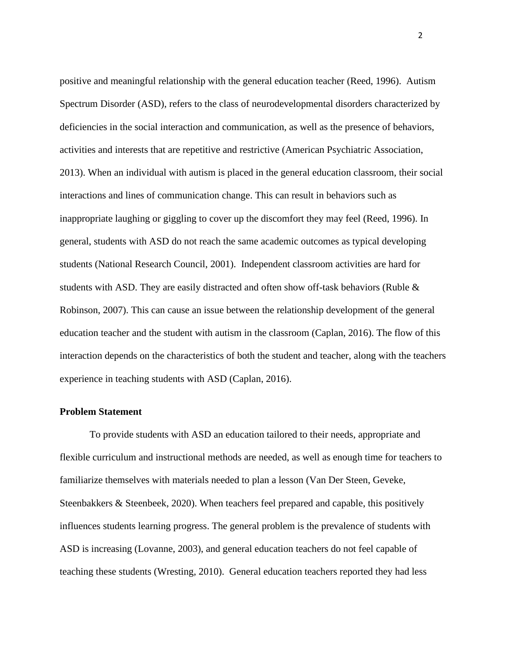positive and meaningful relationship with the general education teacher (Reed, 1996). Autism Spectrum Disorder (ASD), refers to the class of neurodevelopmental disorders characterized by deficiencies in the social interaction and communication, as well as the presence of behaviors, activities and interests that are repetitive and restrictive (American Psychiatric Association, 2013). When an individual with autism is placed in the general education classroom, their social interactions and lines of communication change. This can result in behaviors such as inappropriate laughing or giggling to cover up the discomfort they may feel (Reed, 1996). In general, students with ASD do not reach the same academic outcomes as typical developing students (National Research Council, 2001). Independent classroom activities are hard for students with ASD. They are easily distracted and often show off-task behaviors (Ruble & Robinson, 2007). This can cause an issue between the relationship development of the general education teacher and the student with autism in the classroom (Caplan, 2016). The flow of this interaction depends on the characteristics of both the student and teacher, along with the teachers experience in teaching students with ASD (Caplan, 2016).

## <span id="page-7-0"></span>**Problem Statement**

To provide students with ASD an education tailored to their needs, appropriate and flexible curriculum and instructional methods are needed, as well as enough time for teachers to familiarize themselves with materials needed to plan a lesson (Van Der Steen, Geveke, Steenbakkers & Steenbeek, 2020). When teachers feel prepared and capable, this positively influences students learning progress. The general problem is the prevalence of students with ASD is increasing (Lovanne, 2003), and general education teachers do not feel capable of teaching these students (Wresting, 2010). General education teachers reported they had less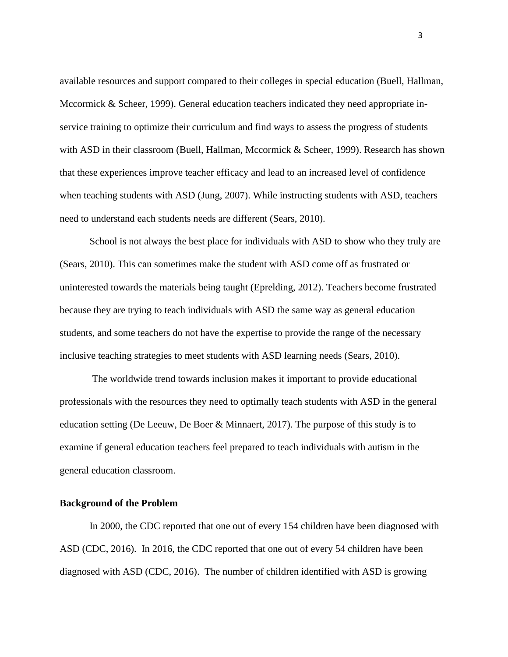available resources and support compared to their colleges in special education (Buell, Hallman, Mccormick & Scheer, 1999). General education teachers indicated they need appropriate inservice training to optimize their curriculum and find ways to assess the progress of students with ASD in their classroom (Buell, Hallman, Mccormick & Scheer, 1999). Research has shown that these experiences improve teacher efficacy and lead to an increased level of confidence when teaching students with ASD (Jung, 2007). While instructing students with ASD, teachers need to understand each students needs are different (Sears, 2010).

School is not always the best place for individuals with ASD to show who they truly are (Sears, 2010). This can sometimes make the student with ASD come off as frustrated or uninterested towards the materials being taught (Eprelding, 2012). Teachers become frustrated because they are trying to teach individuals with ASD the same way as general education students, and some teachers do not have the expertise to provide the range of the necessary inclusive teaching strategies to meet students with ASD learning needs (Sears, 2010).

The worldwide trend towards inclusion makes it important to provide educational professionals with the resources they need to optimally teach students with ASD in the general education setting (De Leeuw, De Boer & Minnaert, 2017). The purpose of this study is to examine if general education teachers feel prepared to teach individuals with autism in the general education classroom.

#### <span id="page-8-0"></span>**Background of the Problem**

In 2000, the CDC reported that one out of every 154 children have been diagnosed with ASD (CDC, 2016). In 2016, the CDC reported that one out of every 54 children have been diagnosed with ASD (CDC, 2016). The number of children identified with ASD is growing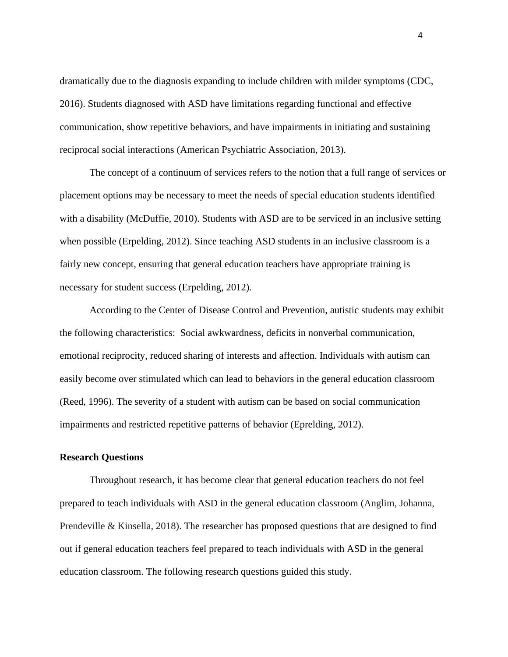dramatically due to the diagnosis expanding to include children with milder symptoms (CDC, 2016). Students diagnosed with ASD have limitations regarding functional and effective communication, show repetitive behaviors, and have impairments in initiating and sustaining reciprocal social interactions (American Psychiatric Association, 2013).

The concept of a continuum of services refers to the notion that a full range of services or placement options may be necessary to meet the needs of special education students identified with a disability (McDuffie, 2010). Students with ASD are to be serviced in an inclusive setting when possible (Erpelding, 2012). Since teaching ASD students in an inclusive classroom is a fairly new concept, ensuring that general education teachers have appropriate training is necessary for student success (Erpelding, 2012).

According to the Center of Disease Control and Prevention, autistic students may exhibit the following characteristics: Social awkwardness, deficits in nonverbal communication, emotional reciprocity, reduced sharing of interests and affection. Individuals with autism can easily become over stimulated which can lead to behaviors in the general education classroom (Reed, 1996). The severity of a student with autism can be based on social communication impairments and restricted repetitive patterns of behavior (Eprelding, 2012).

#### <span id="page-9-0"></span>**Research Questions**

Throughout research, it has become clear that general education teachers do not feel prepared to teach individuals with ASD in the general education classroom (Anglim, Johanna, Prendeville & Kinsella, 2018). The researcher has proposed questions that are designed to find out if general education teachers feel prepared to teach individuals with ASD in the general education classroom. The following research questions guided this study.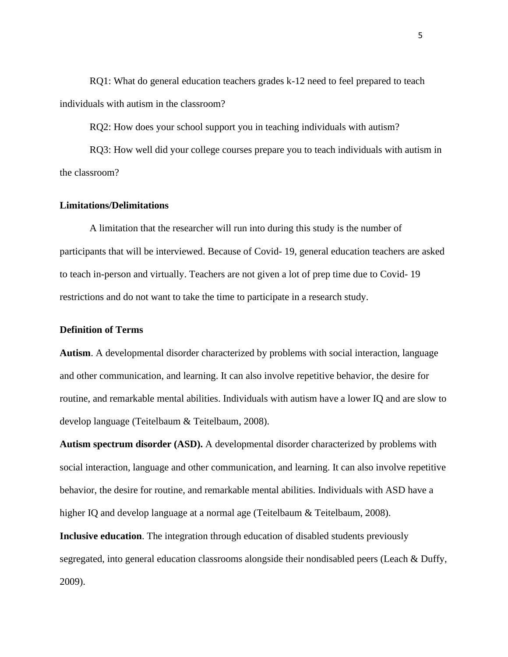RQ1: What do general education teachers grades k-12 need to feel prepared to teach individuals with autism in the classroom?

RQ2: How does your school support you in teaching individuals with autism?

RQ3: How well did your college courses prepare you to teach individuals with autism in the classroom?

## <span id="page-10-0"></span>**Limitations/Delimitations**

A limitation that the researcher will run into during this study is the number of participants that will be interviewed. Because of Covid- 19, general education teachers are asked to teach in-person and virtually. Teachers are not given a lot of prep time due to Covid- 19 restrictions and do not want to take the time to participate in a research study.

## <span id="page-10-1"></span>**Definition of Terms**

**Autism**. A developmental disorder characterized by problems with social interaction, language and other communication, and learning. It can also involve repetitive behavior, the desire for routine, and remarkable mental abilities. Individuals with autism have a lower IQ and are slow to develop language (Teitelbaum & Teitelbaum, 2008).

**Autism spectrum disorder (ASD).** A developmental disorder characterized by problems with social interaction, language and other communication, and learning. It can also involve repetitive behavior, the desire for routine, and remarkable mental abilities. Individuals with ASD have a higher IQ and develop language at a normal age (Teitelbaum & Teitelbaum, 2008).

**Inclusive education**. The integration through education of disabled students previously segregated, into general education classrooms alongside their nondisabled peers (Leach & Duffy, 2009).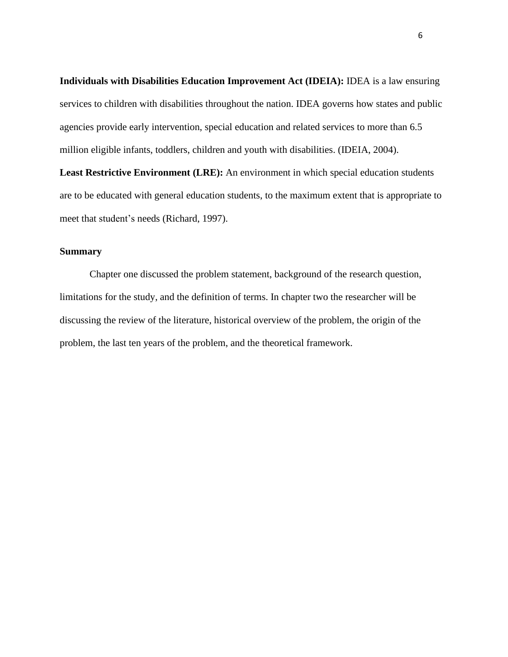**Individuals with Disabilities Education Improvement Act (IDEIA):** IDEA is a law ensuring services to children with disabilities throughout the nation. IDEA governs how states and public agencies provide early intervention, special education and related services to more than 6.5 million eligible infants, toddlers, children and youth with disabilities. (IDEIA, 2004).

**Least Restrictive Environment (LRE):** An environment in which special education students are to be educated with general education students, to the maximum extent that is appropriate to meet that student's needs (Richard, 1997).

## <span id="page-11-0"></span>**Summary**

Chapter one discussed the problem statement, background of the research question, limitations for the study, and the definition of terms. In chapter two the researcher will be discussing the review of the literature, historical overview of the problem, the origin of the problem, the last ten years of the problem, and the theoretical framework.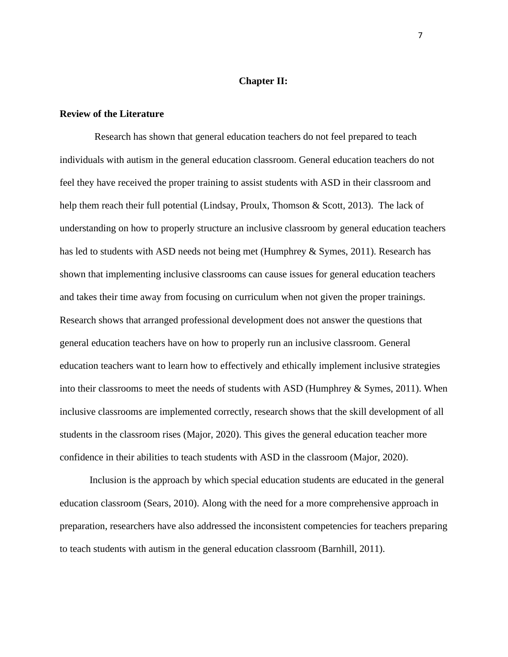## **Chapter II:**

#### <span id="page-12-1"></span><span id="page-12-0"></span>**Review of the Literature**

Research has shown that general education teachers do not feel prepared to teach individuals with autism in the general education classroom. General education teachers do not feel they have received the proper training to assist students with ASD in their classroom and help them reach their full potential (Lindsay, Proulx, Thomson & Scott, 2013). The lack of understanding on how to properly structure an inclusive classroom by general education teachers has led to students with ASD needs not being met (Humphrey & Symes, 2011). Research has shown that implementing inclusive classrooms can cause issues for general education teachers and takes their time away from focusing on curriculum when not given the proper trainings. Research shows that arranged professional development does not answer the questions that general education teachers have on how to properly run an inclusive classroom. General education teachers want to learn how to effectively and ethically implement inclusive strategies into their classrooms to meet the needs of students with ASD (Humphrey & Symes, 2011). When inclusive classrooms are implemented correctly, research shows that the skill development of all students in the classroom rises (Major, 2020). This gives the general education teacher more confidence in their abilities to teach students with ASD in the classroom (Major, 2020).

Inclusion is the approach by which special education students are educated in the general education classroom (Sears, 2010). Along with the need for a more comprehensive approach in preparation, researchers have also addressed the inconsistent competencies for teachers preparing to teach students with autism in the general education classroom (Barnhill, 2011).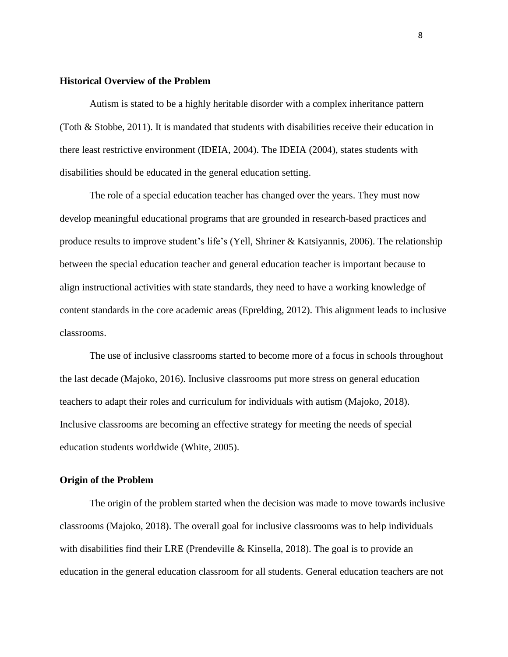#### <span id="page-13-0"></span>**Historical Overview of the Problem**

Autism is stated to be a highly heritable disorder with a complex inheritance pattern (Toth & Stobbe, 2011). It is mandated that students with disabilities receive their education in there least restrictive environment (IDEIA, 2004). The IDEIA (2004), states students with disabilities should be educated in the general education setting.

The role of a special education teacher has changed over the years. They must now develop meaningful educational programs that are grounded in research-based practices and produce results to improve student's life's (Yell, Shriner & Katsiyannis, 2006). The relationship between the special education teacher and general education teacher is important because to align instructional activities with state standards, they need to have a working knowledge of content standards in the core academic areas (Eprelding, 2012). This alignment leads to inclusive classrooms.

The use of inclusive classrooms started to become more of a focus in schools throughout the last decade (Majoko, 2016). Inclusive classrooms put more stress on general education teachers to adapt their roles and curriculum for individuals with autism (Majoko, 2018). Inclusive classrooms are becoming an effective strategy for meeting the needs of special education students worldwide (White, 2005).

## <span id="page-13-1"></span>**Origin of the Problem**

The origin of the problem started when the decision was made to move towards inclusive classrooms (Majoko, 2018). The overall goal for inclusive classrooms was to help individuals with disabilities find their LRE (Prendeville & Kinsella, 2018). The goal is to provide an education in the general education classroom for all students. General education teachers are not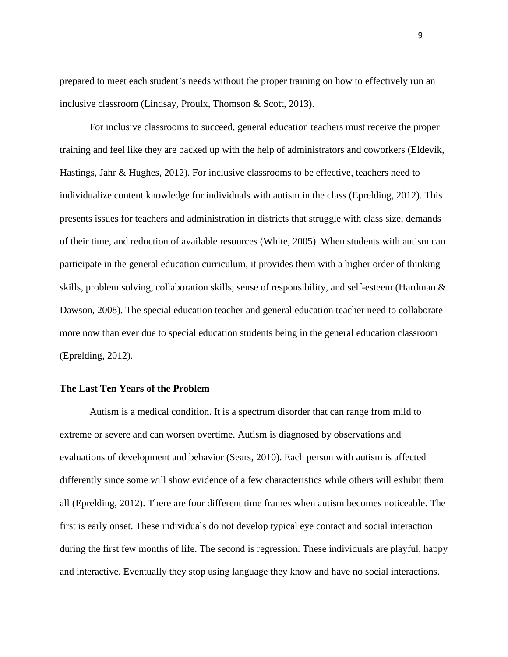prepared to meet each student's needs without the proper training on how to effectively run an inclusive classroom (Lindsay, Proulx, Thomson & Scott, 2013).

For inclusive classrooms to succeed, general education teachers must receive the proper training and feel like they are backed up with the help of administrators and coworkers (Eldevik, Hastings, Jahr & Hughes, 2012). For inclusive classrooms to be effective, teachers need to individualize content knowledge for individuals with autism in the class (Eprelding, 2012). This presents issues for teachers and administration in districts that struggle with class size, demands of their time, and reduction of available resources (White, 2005). When students with autism can participate in the general education curriculum, it provides them with a higher order of thinking skills, problem solving, collaboration skills, sense of responsibility, and self-esteem (Hardman & Dawson, 2008). The special education teacher and general education teacher need to collaborate more now than ever due to special education students being in the general education classroom (Eprelding, 2012).

## <span id="page-14-0"></span>**The Last Ten Years of the Problem**

Autism is a medical condition. It is a spectrum disorder that can range from mild to extreme or severe and can worsen overtime. Autism is diagnosed by observations and evaluations of development and behavior (Sears, 2010). Each person with autism is affected differently since some will show evidence of a few characteristics while others will exhibit them all (Eprelding, 2012). There are four different time frames when autism becomes noticeable. The first is early onset. These individuals do not develop typical eye contact and social interaction during the first few months of life. The second is regression. These individuals are playful, happy and interactive. Eventually they stop using language they know and have no social interactions.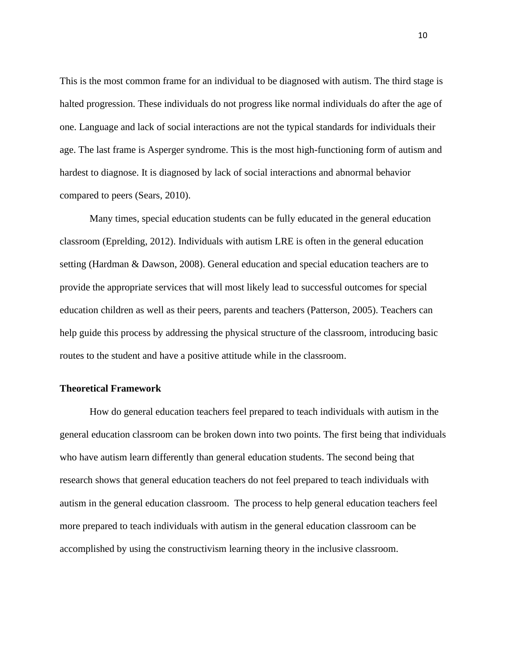This is the most common frame for an individual to be diagnosed with autism. The third stage is halted progression. These individuals do not progress like normal individuals do after the age of one. Language and lack of social interactions are not the typical standards for individuals their age. The last frame is Asperger syndrome. This is the most high-functioning form of autism and hardest to diagnose. It is diagnosed by lack of social interactions and abnormal behavior compared to peers (Sears, 2010).

Many times, special education students can be fully educated in the general education classroom (Eprelding, 2012). Individuals with autism LRE is often in the general education setting (Hardman & Dawson, 2008). General education and special education teachers are to provide the appropriate services that will most likely lead to successful outcomes for special education children as well as their peers, parents and teachers (Patterson, 2005). Teachers can help guide this process by addressing the physical structure of the classroom, introducing basic routes to the student and have a positive attitude while in the classroom.

## <span id="page-15-0"></span>**Theoretical Framework**

How do general education teachers feel prepared to teach individuals with autism in the general education classroom can be broken down into two points. The first being that individuals who have autism learn differently than general education students. The second being that research shows that general education teachers do not feel prepared to teach individuals with autism in the general education classroom. The process to help general education teachers feel more prepared to teach individuals with autism in the general education classroom can be accomplished by using the constructivism learning theory in the inclusive classroom.

10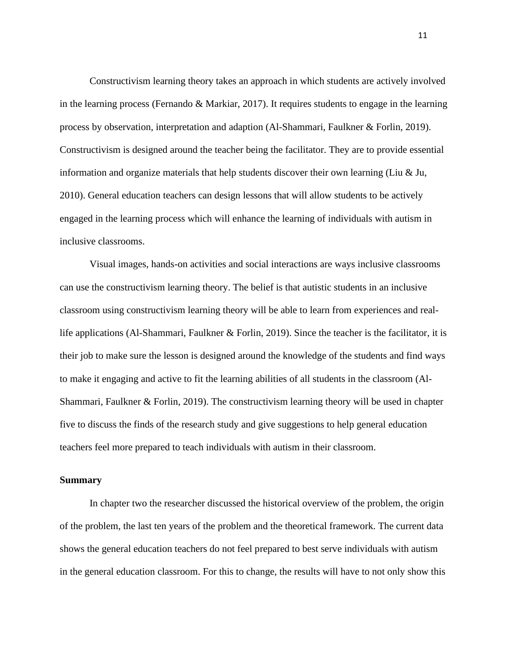Constructivism learning theory takes an approach in which students are actively involved in the learning process (Fernando & Markiar, 2017). It requires students to engage in the learning process by observation, interpretation and adaption (Al-Shammari, Faulkner & Forlin, 2019). Constructivism is designed around the teacher being the facilitator. They are to provide essential information and organize materials that help students discover their own learning (Liu  $\&$  Ju, 2010). General education teachers can design lessons that will allow students to be actively engaged in the learning process which will enhance the learning of individuals with autism in inclusive classrooms.

Visual images, hands-on activities and social interactions are ways inclusive classrooms can use the constructivism learning theory. The belief is that autistic students in an inclusive classroom using constructivism learning theory will be able to learn from experiences and reallife applications (Al-Shammari, Faulkner & Forlin, 2019). Since the teacher is the facilitator, it is their job to make sure the lesson is designed around the knowledge of the students and find ways to make it engaging and active to fit the learning abilities of all students in the classroom (Al-Shammari, Faulkner & Forlin, 2019). The constructivism learning theory will be used in chapter five to discuss the finds of the research study and give suggestions to help general education teachers feel more prepared to teach individuals with autism in their classroom.

#### <span id="page-16-0"></span>**Summary**

In chapter two the researcher discussed the historical overview of the problem, the origin of the problem, the last ten years of the problem and the theoretical framework. The current data shows the general education teachers do not feel prepared to best serve individuals with autism in the general education classroom. For this to change, the results will have to not only show this

11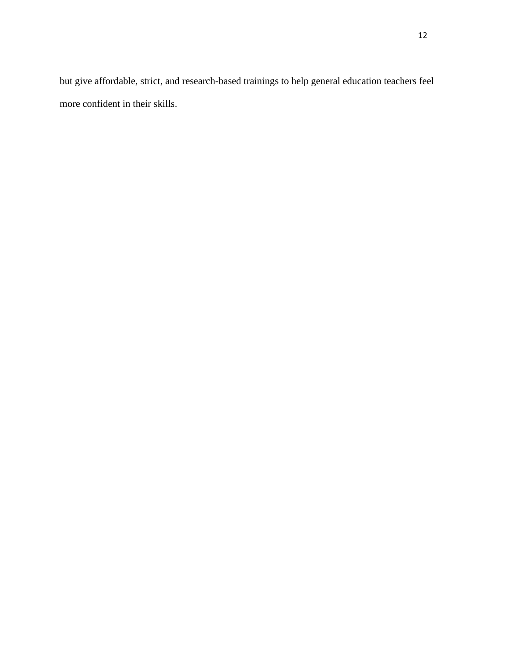but give affordable, strict, and research-based trainings to help general education teachers feel more confident in their skills.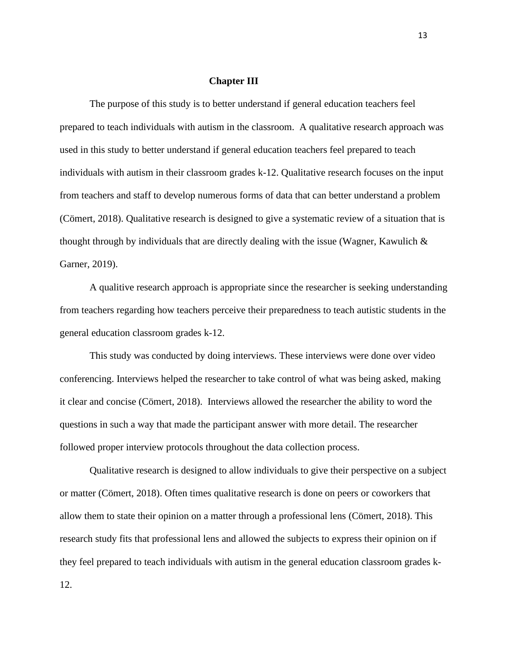### **Chapter III**

<span id="page-18-0"></span>The purpose of this study is to better understand if general education teachers feel prepared to teach individuals with autism in the classroom. A qualitative research approach was used in this study to better understand if general education teachers feel prepared to teach individuals with autism in their classroom grades k-12. Qualitative research focuses on the input from teachers and staff to develop numerous forms of data that can better understand a problem (Cömert, 2018). Qualitative research is designed to give a systematic review of a situation that is thought through by individuals that are directly dealing with the issue (Wagner, Kawulich & Garner, 2019).

A qualitive research approach is appropriate since the researcher is seeking understanding from teachers regarding how teachers perceive their preparedness to teach autistic students in the general education classroom grades k-12.

This study was conducted by doing interviews. These interviews were done over video conferencing. Interviews helped the researcher to take control of what was being asked, making it clear and concise (Cömert, 2018). Interviews allowed the researcher the ability to word the questions in such a way that made the participant answer with more detail. The researcher followed proper interview protocols throughout the data collection process.

Qualitative research is designed to allow individuals to give their perspective on a subject or matter (Cömert, 2018). Often times qualitative research is done on peers or coworkers that allow them to state their opinion on a matter through a professional lens (Cömert, 2018). This research study fits that professional lens and allowed the subjects to express their opinion on if they feel prepared to teach individuals with autism in the general education classroom grades k-

12.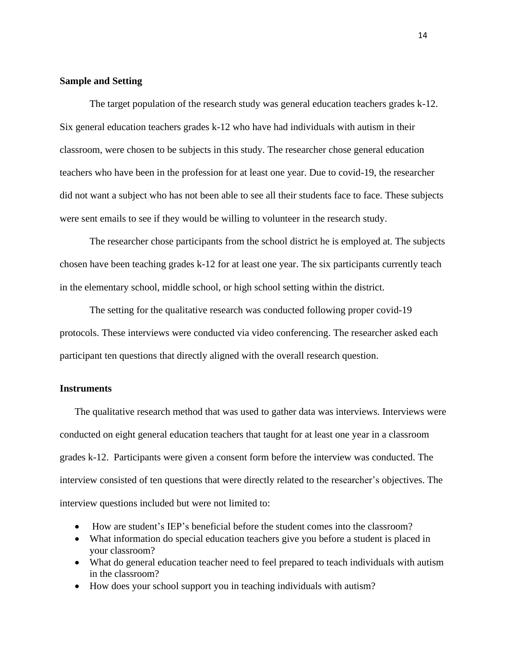## <span id="page-19-0"></span>**Sample and Setting**

The target population of the research study was general education teachers grades k-12. Six general education teachers grades k-12 who have had individuals with autism in their classroom, were chosen to be subjects in this study. The researcher chose general education teachers who have been in the profession for at least one year. Due to covid-19, the researcher did not want a subject who has not been able to see all their students face to face. These subjects were sent emails to see if they would be willing to volunteer in the research study.

The researcher chose participants from the school district he is employed at. The subjects chosen have been teaching grades k-12 for at least one year. The six participants currently teach in the elementary school, middle school, or high school setting within the district.

The setting for the qualitative research was conducted following proper covid-19 protocols. These interviews were conducted via video conferencing. The researcher asked each participant ten questions that directly aligned with the overall research question.

## <span id="page-19-1"></span>**Instruments**

The qualitative research method that was used to gather data was interviews. Interviews were conducted on eight general education teachers that taught for at least one year in a classroom grades k-12. Participants were given a consent form before the interview was conducted. The interview consisted of ten questions that were directly related to the researcher's objectives. The interview questions included but were not limited to:

- How are student's IEP's beneficial before the student comes into the classroom?
- What information do special education teachers give you before a student is placed in your classroom?
- What do general education teacher need to feel prepared to teach individuals with autism in the classroom?
- How does your school support you in teaching individuals with autism?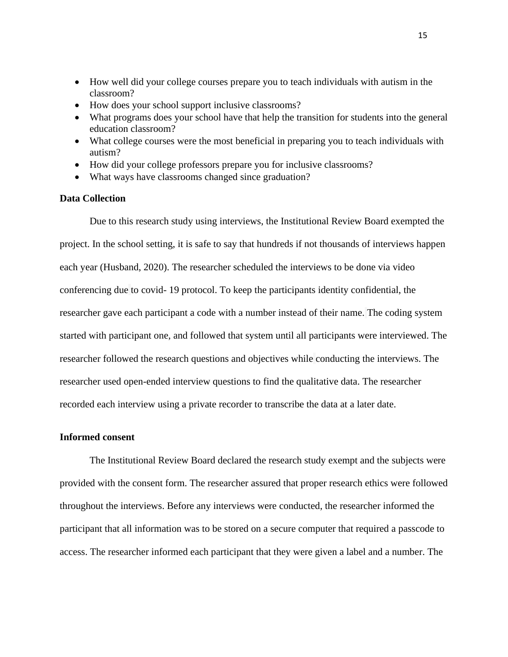- How well did your college courses prepare you to teach individuals with autism in the classroom?
- How does your school support inclusive classrooms?
- What programs does your school have that help the transition for students into the general education classroom?
- What college courses were the most beneficial in preparing you to teach individuals with autism?
- How did your college professors prepare you for inclusive classrooms?
- What ways have classrooms changed since graduation?

## <span id="page-20-0"></span>**Data Collection**

Due to this research study using interviews, the Institutional Review Board exempted the project. In the school setting, it is safe to say that hundreds if not thousands of interviews happen each year (Husband, 2020). The researcher scheduled the interviews to be done via video conferencing due to covid- 19 protocol. To keep the participants identity confidential, the researcher gave each participant a code with a number instead of their name. The coding system started with participant one, and followed that system until all participants were interviewed. The researcher followed the research questions and objectives while conducting the interviews. The researcher used open-ended interview questions to find the qualitative data. The researcher recorded each interview using a private recorder to transcribe the data at a later date.

## <span id="page-20-1"></span>**Informed consent**

The Institutional Review Board declared the research study exempt and the subjects were provided with the consent form. The researcher assured that proper research ethics were followed throughout the interviews. Before any interviews were conducted, the researcher informed the participant that all information was to be stored on a secure computer that required a passcode to access. The researcher informed each participant that they were given a label and a number. The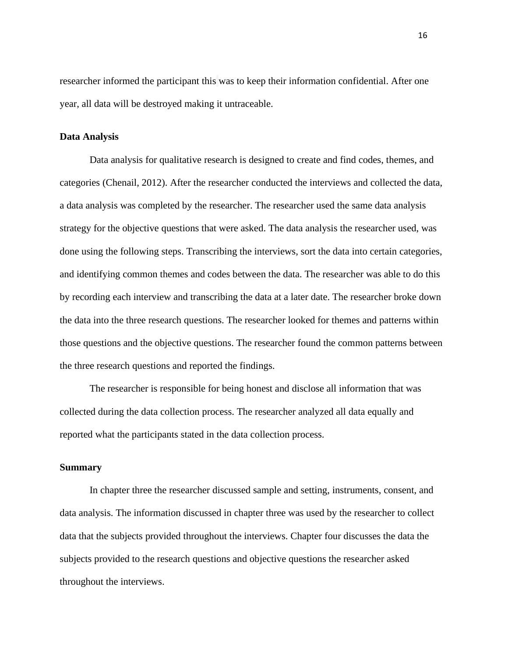researcher informed the participant this was to keep their information confidential. After one year, all data will be destroyed making it untraceable.

## <span id="page-21-0"></span>**Data Analysis**

Data analysis for qualitative research is designed to create and find codes, themes, and categories (Chenail, 2012). After the researcher conducted the interviews and collected the data, a data analysis was completed by the researcher. The researcher used the same data analysis strategy for the objective questions that were asked. The data analysis the researcher used, was done using the following steps. Transcribing the interviews, sort the data into certain categories, and identifying common themes and codes between the data. The researcher was able to do this by recording each interview and transcribing the data at a later date. The researcher broke down the data into the three research questions. The researcher looked for themes and patterns within those questions and the objective questions. The researcher found the common patterns between the three research questions and reported the findings.

The researcher is responsible for being honest and disclose all information that was collected during the data collection process. The researcher analyzed all data equally and reported what the participants stated in the data collection process.

## <span id="page-21-1"></span>**Summary**

In chapter three the researcher discussed sample and setting, instruments, consent, and data analysis. The information discussed in chapter three was used by the researcher to collect data that the subjects provided throughout the interviews. Chapter four discusses the data the subjects provided to the research questions and objective questions the researcher asked throughout the interviews.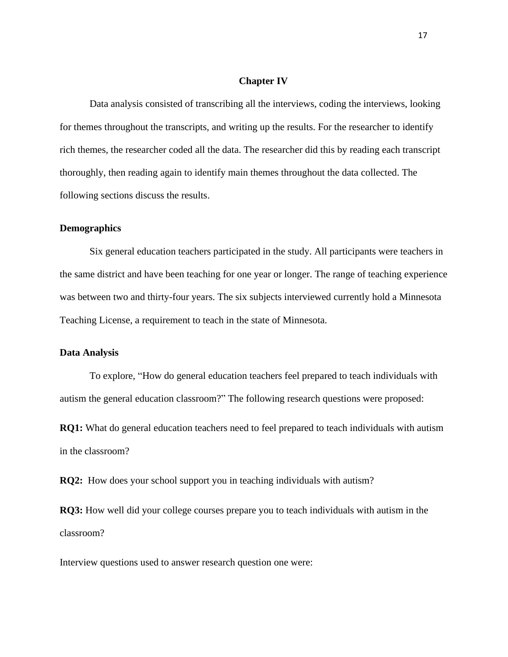#### **Chapter IV**

<span id="page-22-0"></span>Data analysis consisted of transcribing all the interviews, coding the interviews, looking for themes throughout the transcripts, and writing up the results. For the researcher to identify rich themes, the researcher coded all the data. The researcher did this by reading each transcript thoroughly, then reading again to identify main themes throughout the data collected. The following sections discuss the results.

#### <span id="page-22-1"></span>**Demographics**

Six general education teachers participated in the study. All participants were teachers in the same district and have been teaching for one year or longer. The range of teaching experience was between two and thirty-four years. The six subjects interviewed currently hold a Minnesota Teaching License, a requirement to teach in the state of Minnesota.

### <span id="page-22-2"></span>**Data Analysis**

To explore, "How do general education teachers feel prepared to teach individuals with autism the general education classroom?" The following research questions were proposed:

**RQ1:** What do general education teachers need to feel prepared to teach individuals with autism in the classroom?

**RQ2:** How does your school support you in teaching individuals with autism?

**RQ3:** How well did your college courses prepare you to teach individuals with autism in the classroom?

Interview questions used to answer research question one were: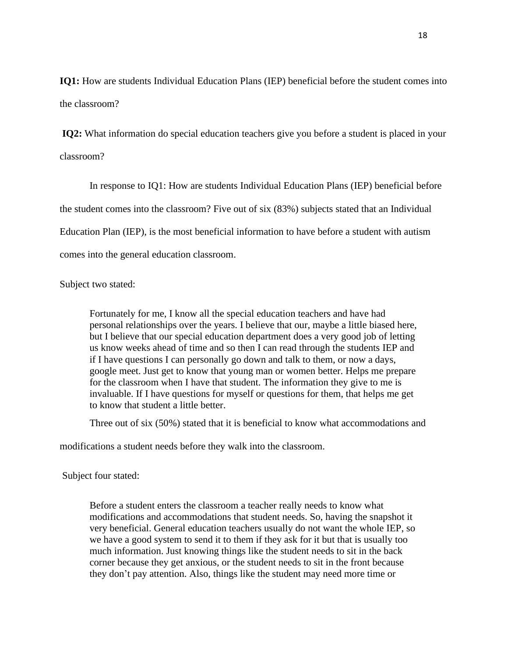**IQ1:** How are students Individual Education Plans (IEP) beneficial before the student comes into the classroom?

**IQ2:** What information do special education teachers give you before a student is placed in your classroom?

In response to IQ1: How are students Individual Education Plans (IEP) beneficial before the student comes into the classroom? Five out of six (83%) subjects stated that an Individual Education Plan (IEP), is the most beneficial information to have before a student with autism comes into the general education classroom.

Subject two stated:

Fortunately for me, I know all the special education teachers and have had personal relationships over the years. I believe that our, maybe a little biased here, but I believe that our special education department does a very good job of letting us know weeks ahead of time and so then I can read through the students IEP and if I have questions I can personally go down and talk to them, or now a days, google meet. Just get to know that young man or women better. Helps me prepare for the classroom when I have that student. The information they give to me is invaluable. If I have questions for myself or questions for them, that helps me get to know that student a little better.

Three out of six (50%) stated that it is beneficial to know what accommodations and

modifications a student needs before they walk into the classroom.

Subject four stated:

Before a student enters the classroom a teacher really needs to know what modifications and accommodations that student needs. So, having the snapshot it very beneficial. General education teachers usually do not want the whole IEP, so we have a good system to send it to them if they ask for it but that is usually too much information. Just knowing things like the student needs to sit in the back corner because they get anxious, or the student needs to sit in the front because they don't pay attention. Also, things like the student may need more time or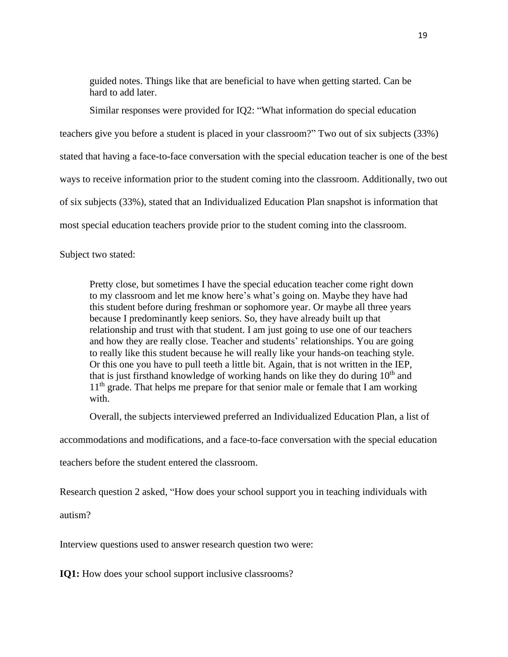guided notes. Things like that are beneficial to have when getting started. Can be hard to add later.

Similar responses were provided for IQ2: "What information do special education teachers give you before a student is placed in your classroom?" Two out of six subjects (33%) stated that having a face-to-face conversation with the special education teacher is one of the best ways to receive information prior to the student coming into the classroom. Additionally, two out of six subjects (33%), stated that an Individualized Education Plan snapshot is information that most special education teachers provide prior to the student coming into the classroom.

Subject two stated:

Pretty close, but sometimes I have the special education teacher come right down to my classroom and let me know here's what's going on. Maybe they have had this student before during freshman or sophomore year. Or maybe all three years because I predominantly keep seniors. So, they have already built up that relationship and trust with that student. I am just going to use one of our teachers and how they are really close. Teacher and students' relationships. You are going to really like this student because he will really like your hands-on teaching style. Or this one you have to pull teeth a little bit. Again, that is not written in the IEP, that is just firsthand knowledge of working hands on like they do during  $10<sup>th</sup>$  and  $11<sup>th</sup>$  grade. That helps me prepare for that senior male or female that I am working with.

Overall, the subjects interviewed preferred an Individualized Education Plan, a list of

accommodations and modifications, and a face-to-face conversation with the special education

teachers before the student entered the classroom.

Research question 2 asked, "How does your school support you in teaching individuals with

autism?

Interview questions used to answer research question two were:

**IQ1:** How does your school support inclusive classrooms?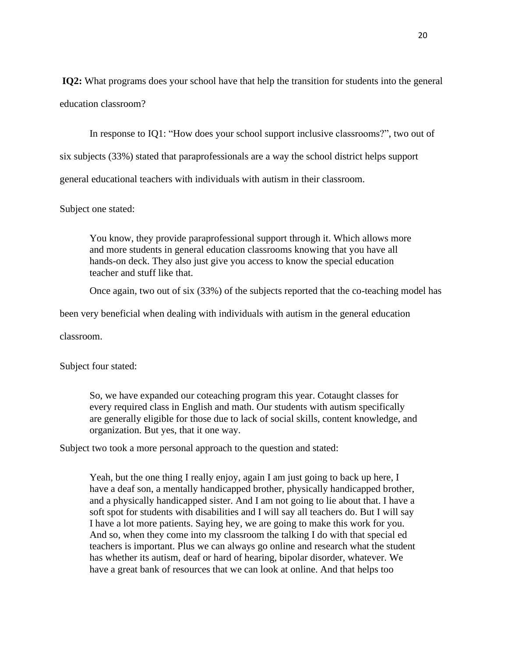**IQ2:** What programs does your school have that help the transition for students into the general education classroom?

In response to IQ1: "How does your school support inclusive classrooms?", two out of

six subjects (33%) stated that paraprofessionals are a way the school district helps support

general educational teachers with individuals with autism in their classroom.

Subject one stated:

You know, they provide paraprofessional support through it. Which allows more and more students in general education classrooms knowing that you have all hands-on deck. They also just give you access to know the special education teacher and stuff like that.

Once again, two out of six (33%) of the subjects reported that the co-teaching model has

been very beneficial when dealing with individuals with autism in the general education

classroom.

Subject four stated:

So, we have expanded our coteaching program this year. Cotaught classes for every required class in English and math. Our students with autism specifically are generally eligible for those due to lack of social skills, content knowledge, and organization. But yes, that it one way.

Subject two took a more personal approach to the question and stated:

Yeah, but the one thing I really enjoy, again I am just going to back up here, I have a deaf son, a mentally handicapped brother, physically handicapped brother, and a physically handicapped sister. And I am not going to lie about that. I have a soft spot for students with disabilities and I will say all teachers do. But I will say I have a lot more patients. Saying hey, we are going to make this work for you. And so, when they come into my classroom the talking I do with that special ed teachers is important. Plus we can always go online and research what the student has whether its autism, deaf or hard of hearing, bipolar disorder, whatever. We have a great bank of resources that we can look at online. And that helps too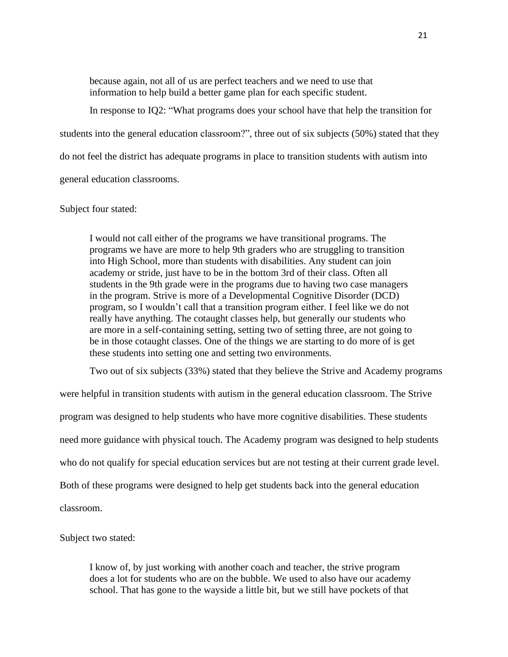because again, not all of us are perfect teachers and we need to use that information to help build a better game plan for each specific student.

In response to IQ2: "What programs does your school have that help the transition for students into the general education classroom?", three out of six subjects (50%) stated that they do not feel the district has adequate programs in place to transition students with autism into general education classrooms.

## Subject four stated:

I would not call either of the programs we have transitional programs. The programs we have are more to help 9th graders who are struggling to transition into High School, more than students with disabilities. Any student can join academy or stride, just have to be in the bottom 3rd of their class. Often all students in the 9th grade were in the programs due to having two case managers in the program. Strive is more of a Developmental Cognitive Disorder (DCD) program, so I wouldn't call that a transition program either. I feel like we do not really have anything. The cotaught classes help, but generally our students who are more in a self-containing setting, setting two of setting three, are not going to be in those cotaught classes. One of the things we are starting to do more of is get these students into setting one and setting two environments.

Two out of six subjects (33%) stated that they believe the Strive and Academy programs

were helpful in transition students with autism in the general education classroom. The Strive program was designed to help students who have more cognitive disabilities. These students need more guidance with physical touch. The Academy program was designed to help students who do not qualify for special education services but are not testing at their current grade level. Both of these programs were designed to help get students back into the general education classroom.

Subject two stated:

I know of, by just working with another coach and teacher, the strive program does a lot for students who are on the bubble. We used to also have our academy school. That has gone to the wayside a little bit, but we still have pockets of that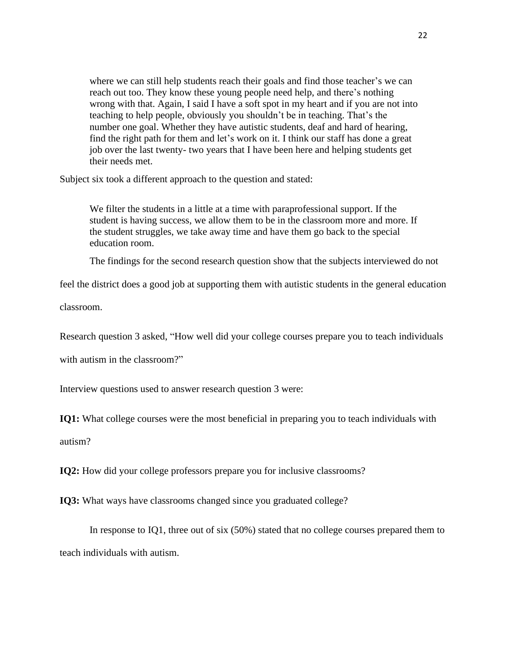where we can still help students reach their goals and find those teacher's we can reach out too. They know these young people need help, and there's nothing wrong with that. Again, I said I have a soft spot in my heart and if you are not into teaching to help people, obviously you shouldn't be in teaching. That's the number one goal. Whether they have autistic students, deaf and hard of hearing, find the right path for them and let's work on it. I think our staff has done a great job over the last twenty- two years that I have been here and helping students get their needs met.

Subject six took a different approach to the question and stated:

We filter the students in a little at a time with paraprofessional support. If the student is having success, we allow them to be in the classroom more and more. If the student struggles, we take away time and have them go back to the special education room.

The findings for the second research question show that the subjects interviewed do not

feel the district does a good job at supporting them with autistic students in the general education

classroom.

Research question 3 asked, "How well did your college courses prepare you to teach individuals

with autism in the classroom?"

Interview questions used to answer research question 3 were:

**IQ1:** What college courses were the most beneficial in preparing you to teach individuals with

autism?

**IQ2:** How did your college professors prepare you for inclusive classrooms?

**IQ3:** What ways have classrooms changed since you graduated college?

In response to IQ1, three out of six (50%) stated that no college courses prepared them to teach individuals with autism.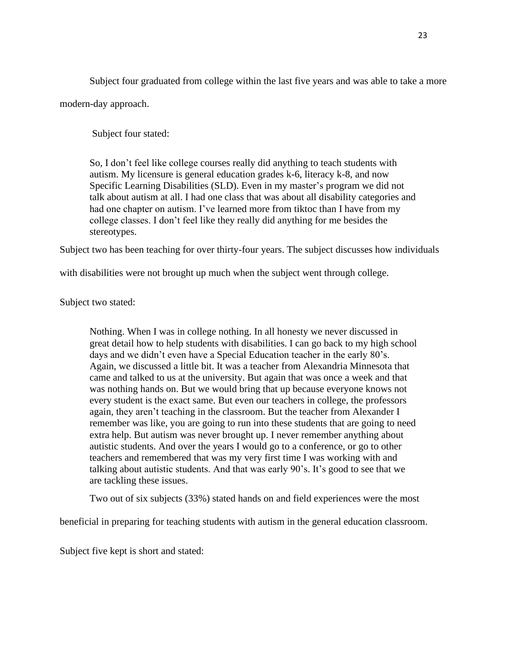Subject four graduated from college within the last five years and was able to take a more modern-day approach.

Subject four stated:

So, I don't feel like college courses really did anything to teach students with autism. My licensure is general education grades k-6, literacy k-8, and now Specific Learning Disabilities (SLD). Even in my master's program we did not talk about autism at all. I had one class that was about all disability categories and had one chapter on autism. I've learned more from tiktoc than I have from my college classes. I don't feel like they really did anything for me besides the stereotypes.

Subject two has been teaching for over thirty-four years. The subject discusses how individuals

with disabilities were not brought up much when the subject went through college.

Subject two stated:

Nothing. When I was in college nothing. In all honesty we never discussed in great detail how to help students with disabilities. I can go back to my high school days and we didn't even have a Special Education teacher in the early 80's. Again, we discussed a little bit. It was a teacher from Alexandria Minnesota that came and talked to us at the university. But again that was once a week and that was nothing hands on. But we would bring that up because everyone knows not every student is the exact same. But even our teachers in college, the professors again, they aren't teaching in the classroom. But the teacher from Alexander I remember was like, you are going to run into these students that are going to need extra help. But autism was never brought up. I never remember anything about autistic students. And over the years I would go to a conference, or go to other teachers and remembered that was my very first time I was working with and talking about autistic students. And that was early 90's. It's good to see that we are tackling these issues.

Two out of six subjects (33%) stated hands on and field experiences were the most

beneficial in preparing for teaching students with autism in the general education classroom.

Subject five kept is short and stated: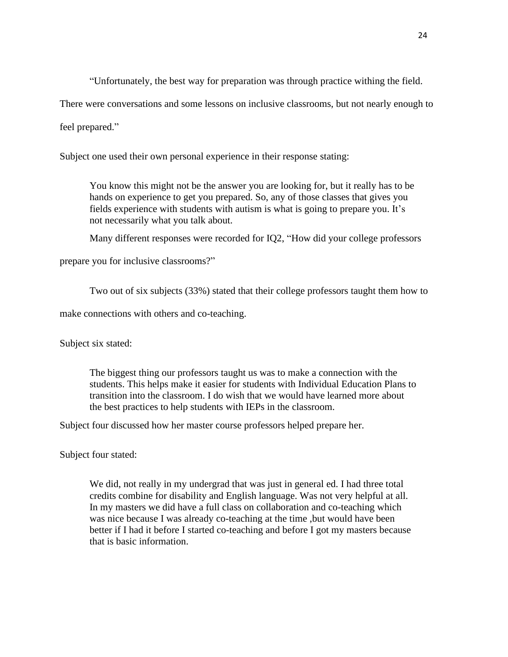"Unfortunately, the best way for preparation was through practice withing the field.

There were conversations and some lessons on inclusive classrooms, but not nearly enough to

feel prepared."

Subject one used their own personal experience in their response stating:

You know this might not be the answer you are looking for, but it really has to be hands on experience to get you prepared. So, any of those classes that gives you fields experience with students with autism is what is going to prepare you. It's not necessarily what you talk about.

Many different responses were recorded for IQ2, "How did your college professors

prepare you for inclusive classrooms?"

Two out of six subjects (33%) stated that their college professors taught them how to

make connections with others and co-teaching.

Subject six stated:

The biggest thing our professors taught us was to make a connection with the students. This helps make it easier for students with Individual Education Plans to transition into the classroom. I do wish that we would have learned more about the best practices to help students with IEPs in the classroom.

Subject four discussed how her master course professors helped prepare her.

Subject four stated:

We did, not really in my undergrad that was just in general ed. I had three total credits combine for disability and English language. Was not very helpful at all. In my masters we did have a full class on collaboration and co-teaching which was nice because I was already co-teaching at the time ,but would have been better if I had it before I started co-teaching and before I got my masters because that is basic information.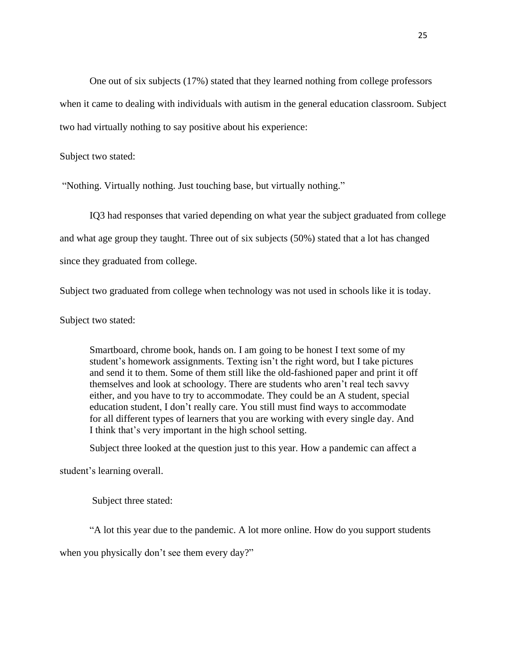One out of six subjects (17%) stated that they learned nothing from college professors when it came to dealing with individuals with autism in the general education classroom. Subject two had virtually nothing to say positive about his experience:

Subject two stated:

"Nothing. Virtually nothing. Just touching base, but virtually nothing."

IQ3 had responses that varied depending on what year the subject graduated from college and what age group they taught. Three out of six subjects (50%) stated that a lot has changed since they graduated from college.

Subject two graduated from college when technology was not used in schools like it is today.

Subject two stated:

Smartboard, chrome book, hands on. I am going to be honest I text some of my student's homework assignments. Texting isn't the right word, but I take pictures and send it to them. Some of them still like the old-fashioned paper and print it off themselves and look at schoology. There are students who aren't real tech savvy either, and you have to try to accommodate. They could be an A student, special education student, I don't really care. You still must find ways to accommodate for all different types of learners that you are working with every single day. And I think that's very important in the high school setting.

Subject three looked at the question just to this year. How a pandemic can affect a

student's learning overall.

Subject three stated:

"A lot this year due to the pandemic. A lot more online. How do you support students when you physically don't see them every day?"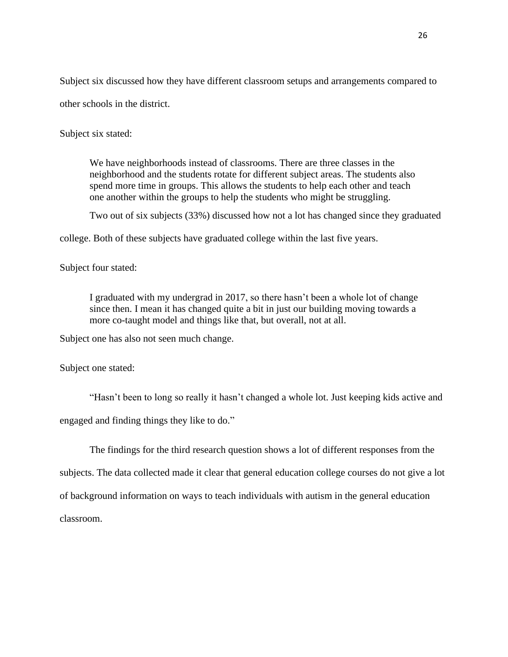Subject six discussed how they have different classroom setups and arrangements compared to other schools in the district.

Subject six stated:

We have neighborhoods instead of classrooms. There are three classes in the neighborhood and the students rotate for different subject areas. The students also spend more time in groups. This allows the students to help each other and teach one another within the groups to help the students who might be struggling.

Two out of six subjects (33%) discussed how not a lot has changed since they graduated

college. Both of these subjects have graduated college within the last five years.

## Subject four stated:

I graduated with my undergrad in 2017, so there hasn't been a whole lot of change since then. I mean it has changed quite a bit in just our building moving towards a more co-taught model and things like that, but overall, not at all.

Subject one has also not seen much change.

Subject one stated:

"Hasn't been to long so really it hasn't changed a whole lot. Just keeping kids active and engaged and finding things they like to do."

The findings for the third research question shows a lot of different responses from the subjects. The data collected made it clear that general education college courses do not give a lot of background information on ways to teach individuals with autism in the general education classroom.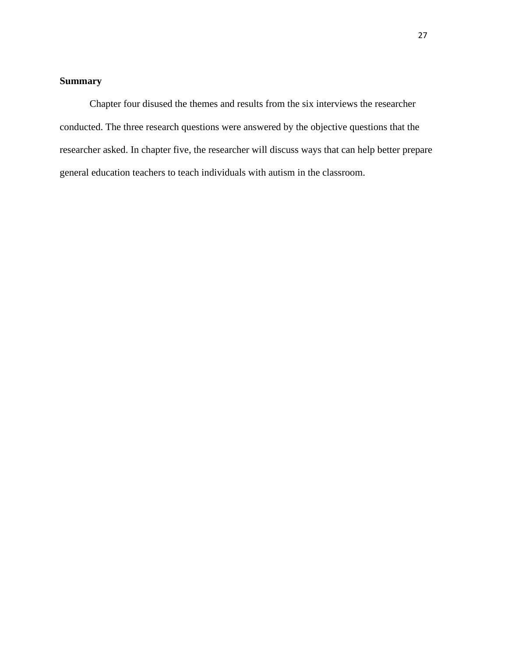## <span id="page-32-0"></span>**Summary**

Chapter four disused the themes and results from the six interviews the researcher conducted. The three research questions were answered by the objective questions that the researcher asked. In chapter five, the researcher will discuss ways that can help better prepare general education teachers to teach individuals with autism in the classroom.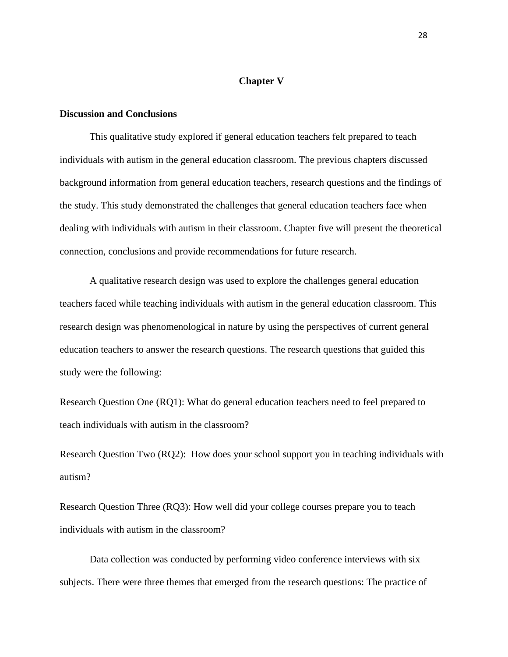## **Chapter V**

## <span id="page-33-1"></span><span id="page-33-0"></span>**Discussion and Conclusions**

This qualitative study explored if general education teachers felt prepared to teach individuals with autism in the general education classroom. The previous chapters discussed background information from general education teachers, research questions and the findings of the study. This study demonstrated the challenges that general education teachers face when dealing with individuals with autism in their classroom. Chapter five will present the theoretical connection, conclusions and provide recommendations for future research.

A qualitative research design was used to explore the challenges general education teachers faced while teaching individuals with autism in the general education classroom. This research design was phenomenological in nature by using the perspectives of current general education teachers to answer the research questions. The research questions that guided this study were the following:

Research Question One (RQ1): What do general education teachers need to feel prepared to teach individuals with autism in the classroom?

Research Question Two (RQ2): How does your school support you in teaching individuals with autism?

Research Question Three (RQ3): How well did your college courses prepare you to teach individuals with autism in the classroom?

Data collection was conducted by performing video conference interviews with six subjects. There were three themes that emerged from the research questions: The practice of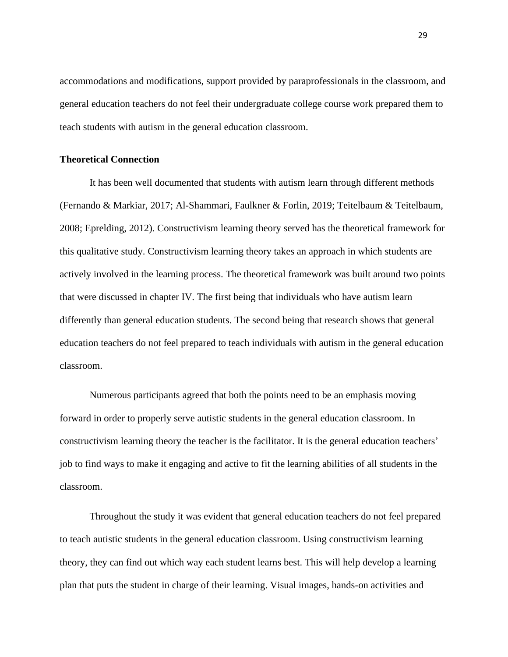accommodations and modifications, support provided by paraprofessionals in the classroom, and general education teachers do not feel their undergraduate college course work prepared them to teach students with autism in the general education classroom.

## <span id="page-34-0"></span>**Theoretical Connection**

It has been well documented that students with autism learn through different methods (Fernando & Markiar, 2017; Al-Shammari, Faulkner & Forlin, 2019; Teitelbaum & Teitelbaum, 2008; Eprelding, 2012). Constructivism learning theory served has the theoretical framework for this qualitative study. Constructivism learning theory takes an approach in which students are actively involved in the learning process. The theoretical framework was built around two points that were discussed in chapter IV. The first being that individuals who have autism learn differently than general education students. The second being that research shows that general education teachers do not feel prepared to teach individuals with autism in the general education classroom.

Numerous participants agreed that both the points need to be an emphasis moving forward in order to properly serve autistic students in the general education classroom. In constructivism learning theory the teacher is the facilitator. It is the general education teachers' job to find ways to make it engaging and active to fit the learning abilities of all students in the classroom.

Throughout the study it was evident that general education teachers do not feel prepared to teach autistic students in the general education classroom. Using constructivism learning theory, they can find out which way each student learns best. This will help develop a learning plan that puts the student in charge of their learning. Visual images, hands-on activities and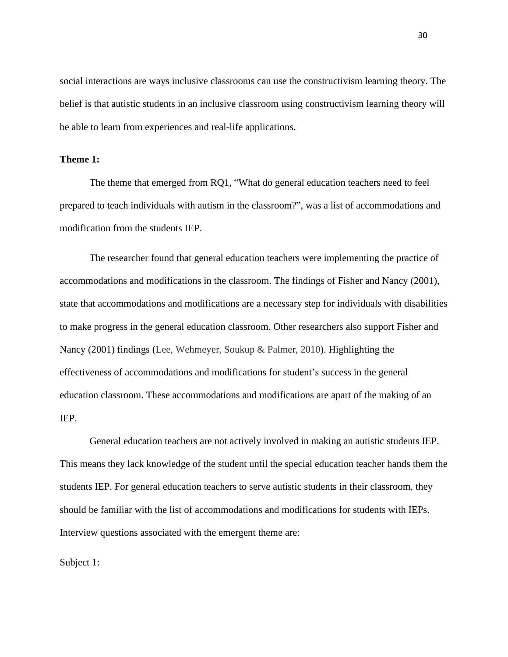social interactions are ways inclusive classrooms can use the constructivism learning theory. The belief is that autistic students in an inclusive classroom using constructivism learning theory will be able to learn from experiences and real-life applications.

## <span id="page-35-0"></span>**Theme 1:**

The theme that emerged from RQ1, "What do general education teachers need to feel prepared to teach individuals with autism in the classroom?", was a list of accommodations and modification from the students IEP.

The researcher found that general education teachers were implementing the practice of accommodations and modifications in the classroom. The findings of Fisher and Nancy (2001), state that accommodations and modifications are a necessary step for individuals with disabilities to make progress in the general education classroom. Other researchers also support Fisher and Nancy (2001) findings (Lee, Wehmeyer, Soukup & Palmer, 2010). Highlighting the effectiveness of accommodations and modifications for student's success in the general education classroom. These accommodations and modifications are apart of the making of an IEP.

General education teachers are not actively involved in making an autistic students IEP. This means they lack knowledge of the student until the special education teacher hands them the students IEP. For general education teachers to serve autistic students in their classroom, they should be familiar with the list of accommodations and modifications for students with IEPs. Interview questions associated with the emergent theme are:

Subject 1: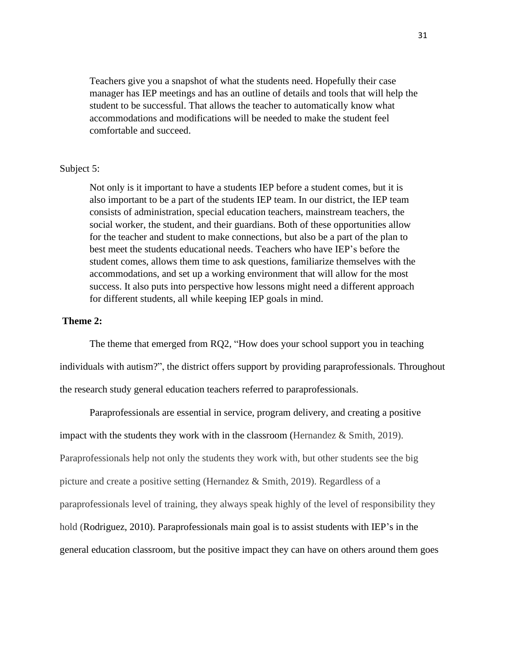Teachers give you a snapshot of what the students need. Hopefully their case manager has IEP meetings and has an outline of details and tools that will help the student to be successful. That allows the teacher to automatically know what accommodations and modifications will be needed to make the student feel comfortable and succeed.

## Subject 5:

Not only is it important to have a students IEP before a student comes, but it is also important to be a part of the students IEP team. In our district, the IEP team consists of administration, special education teachers, mainstream teachers, the social worker, the student, and their guardians. Both of these opportunities allow for the teacher and student to make connections, but also be a part of the plan to best meet the students educational needs. Teachers who have IEP's before the student comes, allows them time to ask questions, familiarize themselves with the accommodations, and set up a working environment that will allow for the most success. It also puts into perspective how lessons might need a different approach for different students, all while keeping IEP goals in mind.

## <span id="page-36-0"></span>**Theme 2:**

The theme that emerged from RQ2, "How does your school support you in teaching individuals with autism?", the district offers support by providing paraprofessionals. Throughout the research study general education teachers referred to paraprofessionals.

Paraprofessionals are essential in service, program delivery, and creating a positive impact with the students they work with in the classroom (Hernandez & Smith, 2019). Paraprofessionals help not only the students they work with, but other students see the big picture and create a positive setting (Hernandez & Smith, 2019). Regardless of a paraprofessionals level of training, they always speak highly of the level of responsibility they hold (Rodriguez, 2010). Paraprofessionals main goal is to assist students with IEP's in the general education classroom, but the positive impact they can have on others around them goes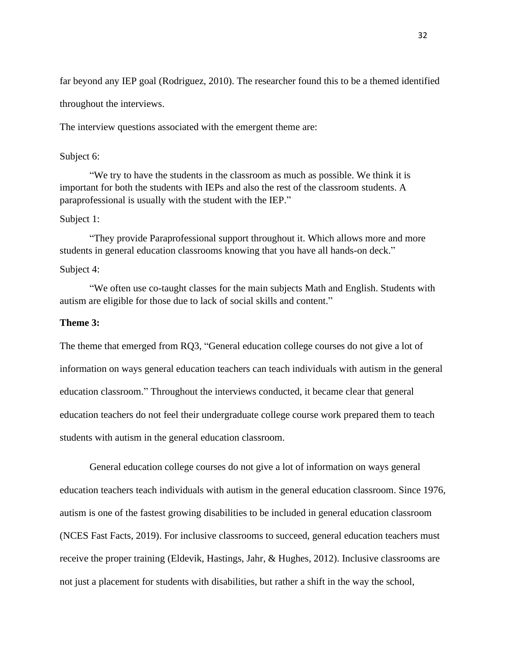far beyond any IEP goal (Rodriguez, 2010). The researcher found this to be a themed identified throughout the interviews.

The interview questions associated with the emergent theme are:

## Subject 6:

"We try to have the students in the classroom as much as possible. We think it is important for both the students with IEPs and also the rest of the classroom students. A paraprofessional is usually with the student with the IEP."

## Subject 1:

"They provide Paraprofessional support throughout it. Which allows more and more students in general education classrooms knowing that you have all hands-on deck."

## Subject 4:

"We often use co-taught classes for the main subjects Math and English. Students with autism are eligible for those due to lack of social skills and content."

### <span id="page-37-0"></span>**Theme 3:**

The theme that emerged from RQ3, "General education college courses do not give a lot of information on ways general education teachers can teach individuals with autism in the general education classroom." Throughout the interviews conducted, it became clear that general education teachers do not feel their undergraduate college course work prepared them to teach students with autism in the general education classroom.

General education college courses do not give a lot of information on ways general education teachers teach individuals with autism in the general education classroom. Since 1976, autism is one of the fastest growing disabilities to be included in general education classroom (NCES Fast Facts, 2019). For inclusive classrooms to succeed, general education teachers must receive the proper training (Eldevik, Hastings, Jahr, & Hughes, 2012). Inclusive classrooms are not just a placement for students with disabilities, but rather a shift in the way the school,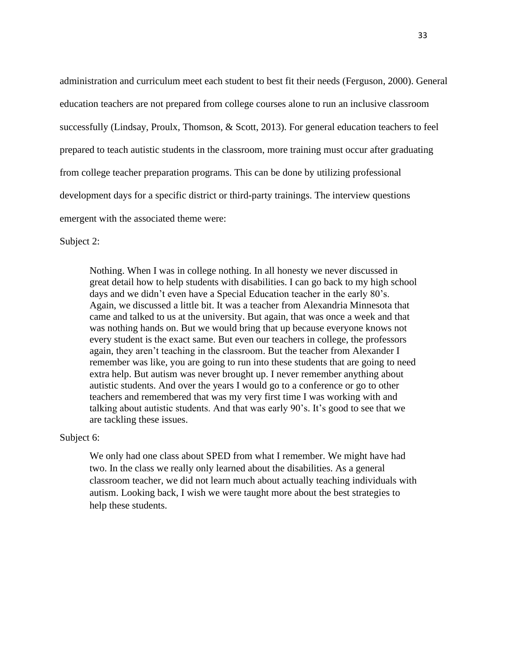administration and curriculum meet each student to best fit their needs (Ferguson, 2000). General education teachers are not prepared from college courses alone to run an inclusive classroom successfully (Lindsay, Proulx, Thomson, & Scott, 2013). For general education teachers to feel prepared to teach autistic students in the classroom, more training must occur after graduating from college teacher preparation programs. This can be done by utilizing professional development days for a specific district or third-party trainings. The interview questions emergent with the associated theme were:

Subject 2:

Nothing. When I was in college nothing. In all honesty we never discussed in great detail how to help students with disabilities. I can go back to my high school days and we didn't even have a Special Education teacher in the early 80's. Again, we discussed a little bit. It was a teacher from Alexandria Minnesota that came and talked to us at the university. But again, that was once a week and that was nothing hands on. But we would bring that up because everyone knows not every student is the exact same. But even our teachers in college, the professors again, they aren't teaching in the classroom. But the teacher from Alexander I remember was like, you are going to run into these students that are going to need extra help. But autism was never brought up. I never remember anything about autistic students. And over the years I would go to a conference or go to other teachers and remembered that was my very first time I was working with and talking about autistic students. And that was early 90's. It's good to see that we are tackling these issues.

Subject 6:

We only had one class about SPED from what I remember. We might have had two. In the class we really only learned about the disabilities. As a general classroom teacher, we did not learn much about actually teaching individuals with autism. Looking back, I wish we were taught more about the best strategies to help these students.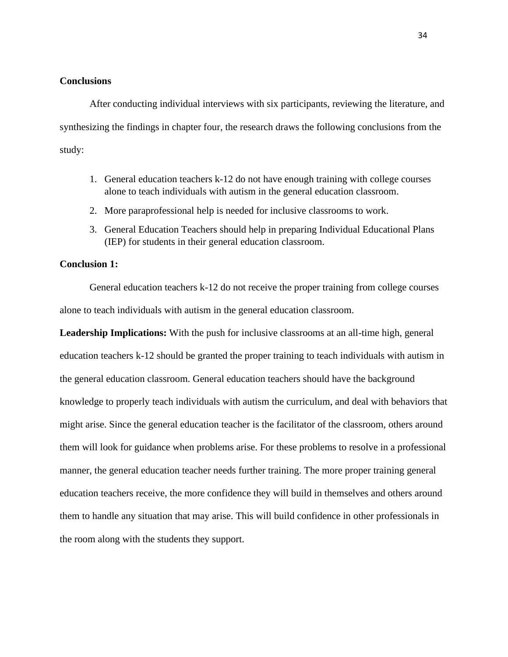#### <span id="page-39-0"></span>**Conclusions**

After conducting individual interviews with six participants, reviewing the literature, and synthesizing the findings in chapter four, the research draws the following conclusions from the study:

- 1. General education teachers k-12 do not have enough training with college courses alone to teach individuals with autism in the general education classroom.
- 2. More paraprofessional help is needed for inclusive classrooms to work.
- 3. General Education Teachers should help in preparing Individual Educational Plans (IEP) for students in their general education classroom.

## <span id="page-39-1"></span>**Conclusion 1:**

General education teachers k-12 do not receive the proper training from college courses alone to teach individuals with autism in the general education classroom.

**Leadership Implications:** With the push for inclusive classrooms at an all-time high, general education teachers k-12 should be granted the proper training to teach individuals with autism in the general education classroom. General education teachers should have the background knowledge to properly teach individuals with autism the curriculum, and deal with behaviors that might arise. Since the general education teacher is the facilitator of the classroom, others around them will look for guidance when problems arise. For these problems to resolve in a professional manner, the general education teacher needs further training. The more proper training general education teachers receive, the more confidence they will build in themselves and others around them to handle any situation that may arise. This will build confidence in other professionals in the room along with the students they support.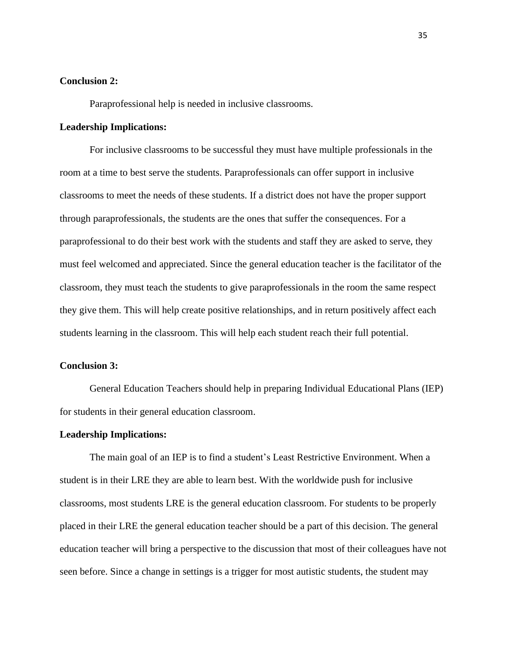### <span id="page-40-0"></span>**Conclusion 2:**

Paraprofessional help is needed in inclusive classrooms.

#### **Leadership Implications:**

For inclusive classrooms to be successful they must have multiple professionals in the room at a time to best serve the students. Paraprofessionals can offer support in inclusive classrooms to meet the needs of these students. If a district does not have the proper support through paraprofessionals, the students are the ones that suffer the consequences. For a paraprofessional to do their best work with the students and staff they are asked to serve, they must feel welcomed and appreciated. Since the general education teacher is the facilitator of the classroom, they must teach the students to give paraprofessionals in the room the same respect they give them. This will help create positive relationships, and in return positively affect each students learning in the classroom. This will help each student reach their full potential.

## <span id="page-40-1"></span>**Conclusion 3:**

General Education Teachers should help in preparing Individual Educational Plans (IEP) for students in their general education classroom.

#### **Leadership Implications:**

The main goal of an IEP is to find a student's Least Restrictive Environment. When a student is in their LRE they are able to learn best. With the worldwide push for inclusive classrooms, most students LRE is the general education classroom. For students to be properly placed in their LRE the general education teacher should be a part of this decision. The general education teacher will bring a perspective to the discussion that most of their colleagues have not seen before. Since a change in settings is a trigger for most autistic students, the student may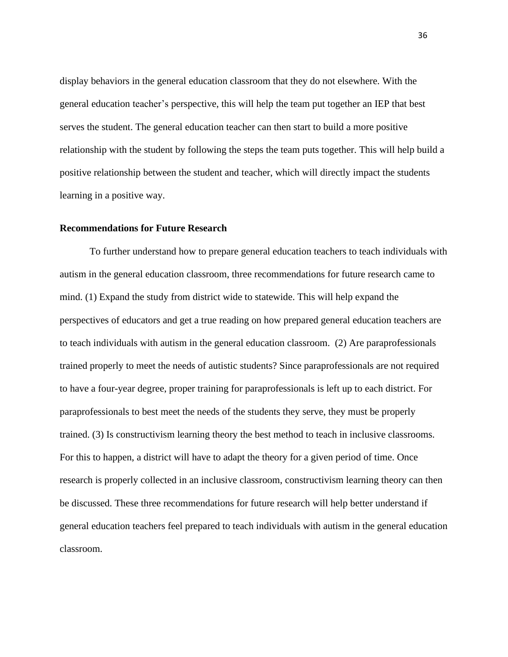display behaviors in the general education classroom that they do not elsewhere. With the general education teacher's perspective, this will help the team put together an IEP that best serves the student. The general education teacher can then start to build a more positive relationship with the student by following the steps the team puts together. This will help build a positive relationship between the student and teacher, which will directly impact the students learning in a positive way.

#### <span id="page-41-0"></span>**Recommendations for Future Research**

To further understand how to prepare general education teachers to teach individuals with autism in the general education classroom, three recommendations for future research came to mind. (1) Expand the study from district wide to statewide. This will help expand the perspectives of educators and get a true reading on how prepared general education teachers are to teach individuals with autism in the general education classroom. (2) Are paraprofessionals trained properly to meet the needs of autistic students? Since paraprofessionals are not required to have a four-year degree, proper training for paraprofessionals is left up to each district. For paraprofessionals to best meet the needs of the students they serve, they must be properly trained. (3) Is constructivism learning theory the best method to teach in inclusive classrooms. For this to happen, a district will have to adapt the theory for a given period of time. Once research is properly collected in an inclusive classroom, constructivism learning theory can then be discussed. These three recommendations for future research will help better understand if general education teachers feel prepared to teach individuals with autism in the general education classroom.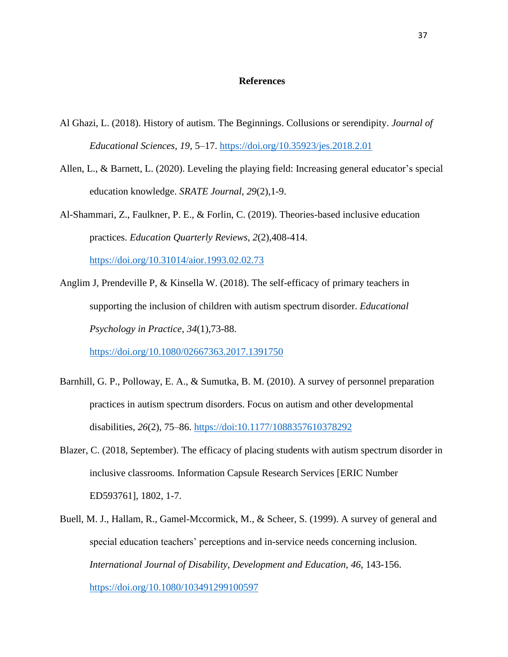#### **References**

- <span id="page-42-0"></span>Al Ghazi, L. (2018). History of autism. The Beginnings. Collusions or serendipity. *Journal of Educational Sciences, 19*, 5–17. <https://doi.org/10.35923/jes.2018.2.01>
- Allen, L., & Barnett, L. (2020). Leveling the playing field: Increasing general educator's special education knowledge. *SRATE Journal*, *29*(2),1-9.
- Al-Shammari, Z., Faulkner, P. E., & Forlin, C. (2019). Theories-based inclusive education practices. *Education Quarterly Reviews*, *2*(2),408-414. <https://doi.org/10.31014/aior.1993.02.02.73>
- Anglim J, Prendeville P, & Kinsella W. (2018). The self-efficacy of primary teachers in supporting the inclusion of children with autism spectrum disorder. *Educational Psychology in Practice*, *34*(1),73-88.
	- <https://doi.org/10.1080/02667363.2017.1391750>
- Barnhill, G. P., Polloway, E. A., & Sumutka, B. M. (2010). A survey of personnel preparation practices in autism spectrum disorders. Focus on autism and other developmental disabilities, *26*(2), 75–86.<https://doi:10.1177/1088357610378292>
- Blazer, C. (2018, September). The efficacy of placing students with autism spectrum disorder in inclusive classrooms*.* Information Capsule Research Services [ERIC Number ED593761], 1802, 1-7.
- Buell, M. J., Hallam, R., Gamel-Mccormick, M., & Scheer, S. (1999). A survey of general and special education teachers' perceptions and in-service needs concerning inclusion. *International Journal of Disability, Development and Education, 46*, 143-156. <https://doi.org/10.1080/103491299100597>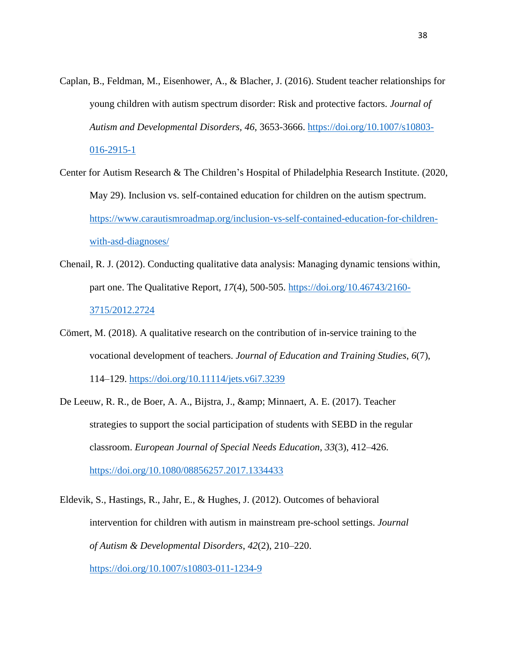- Caplan, B., Feldman, M., Eisenhower, A., & Blacher, J. (2016). Student teacher relationships for young children with autism spectrum disorder: Risk and protective factors. *Journal of Autism and Developmental Disorders, 46*, 3653-3666. [https://doi.org/10.1007/s10803-](https://doi.org/10.1007/s10803-016-2915-1) [016-2915-1](https://doi.org/10.1007/s10803-016-2915-1)
- Center for Autism Research & The Children's Hospital of Philadelphia Research Institute. (2020, May 29). Inclusion vs. self-contained education for children on the autism spectrum. [https://www.carautismroadmap.org/inclusion-vs-self-contained-education-for-children](https://www.carautismroadmap.org/inclusion-vs-self-contained-education-for-children-with-asd-diagnoses/)[with-asd-diagnoses/](https://www.carautismroadmap.org/inclusion-vs-self-contained-education-for-children-with-asd-diagnoses/)
- Chenail, R. J. (2012). Conducting qualitative data analysis: Managing dynamic tensions within, part one. The Qualitative Report, *17*(4), 500-505. [https://doi.org/10.46743/2160-](https://doi.org/10.46743/2160-3715/2012.2724) [3715/2012.2724](https://doi.org/10.46743/2160-3715/2012.2724)
- Cömert, M. (2018). A qualitative research on the contribution of in-service training to the vocational development of teachers. *Journal of Education and Training Studies*, *6*(7), 114–129. <https://doi.org/10.11114/jets.v6i7.3239>
- De Leeuw, R. R., de Boer, A. A., Bijstra, J., & amp; Minnaert, A. E. (2017). Teacher strategies to support the social participation of students with SEBD in the regular classroom. *European Journal of Special Needs Education*, *33*(3), 412–426. <https://doi.org/10.1080/08856257.2017.1334433>
- Eldevik, S., Hastings, R., Jahr, E., & Hughes, J. (2012). Outcomes of behavioral intervention for children with autism in mainstream pre-school settings. *Journal of Autism & Developmental Disorders*, *42*(2), 210–220. <https://doi.org/10.1007/s10803-011-1234-9>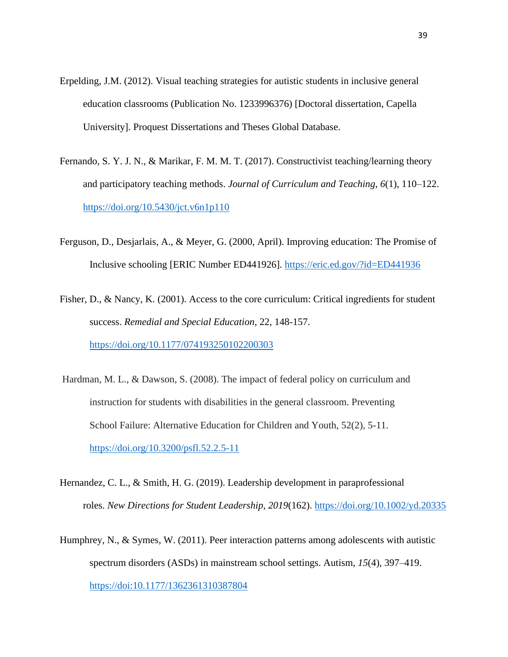- Erpelding, J.M. (2012). Visual teaching strategies for autistic students in inclusive general education classrooms (Publication No. 1233996376) [Doctoral dissertation, Capella University]. Proquest Dissertations and Theses Global Database.
- Fernando, S. Y. J. N., & Marikar, F. M. M. T. (2017). Constructivist teaching/learning theory and participatory teaching methods. *Journal of Curriculum and Teaching*, *6*(1), 110–122. <https://doi.org/10.5430/jct.v6n1p110>
- Ferguson, D., Desjarlais, A., & Meyer, G. (2000, April). Improving education: The Promise of Inclusive schooling [ERIC Number ED441926].<https://eric.ed.gov/?id=ED441936>
- Fisher, D., & Nancy, K. (2001). Access to the core curriculum: Critical ingredients for student success. *Remedial and Special Education,* 22, 148-157. <https://doi.org/10.1177/074193250102200303>
- Hardman, M. L., & Dawson, S. (2008). The impact of federal policy on curriculum and instruction for students with disabilities in the general classroom. Preventing School Failure: Alternative Education for Children and Youth, 52(2), 5-11. <https://doi.org/10.3200/psfl.52.2.5-11>
- Hernandez, C. L., & Smith, H. G. (2019). Leadership development in paraprofessional roles. *New Directions for Student Leadership*, *2019*(162). <https://doi.org/10.1002/yd.20335>
- Humphrey, N., & Symes, W. (2011). Peer interaction patterns among adolescents with autistic spectrum disorders (ASDs) in mainstream school settings. Autism, *15*(4), 397–419. <https://doi:10.1177/1362361310387804>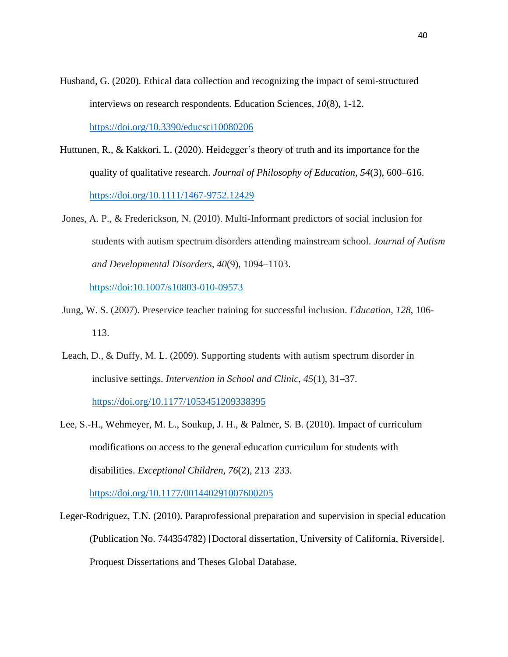- Husband, G. (2020). Ethical data collection and recognizing the impact of semi-structured interviews on research respondents. Education Sciences, *10*(8), 1-12. <https://doi.org/10.3390/educsci10080206>
- Huttunen, R., & Kakkori, L. (2020). Heidegger's theory of truth and its importance for the quality of qualitative research. *Journal of Philosophy of Education*, *54*(3), 600–616. <https://doi.org/10.1111/1467-9752.12429>
- Jones, A. P., & Frederickson, N. (2010). Multi-Informant predictors of social inclusion for students with autism spectrum disorders attending mainstream school. *Journal of Autism and Developmental Disorders*, *40*(9), 1094–1103.

https://doi:10.1007/s10803-010-09573

- Jung, W. S. (2007). Preservice teacher training for successful inclusion. *Education*, *128*, 106- 113.
- Leach, D., & Duffy, M. L. (2009). Supporting students with autism spectrum disorder in inclusive settings. *Intervention in School and Clinic*, *45*(1), 31–37. <https://doi.org/10.1177/1053451209338395>
- Lee, S.-H., Wehmeyer, M. L., Soukup, J. H., & Palmer, S. B. (2010). Impact of curriculum modifications on access to the general education curriculum for students with disabilities. *Exceptional Children*, *76*(2), 213–233.

<https://doi.org/10.1177/001440291007600205>

Leger-Rodriguez, T.N. (2010). Paraprofessional preparation and supervision in special education (Publication No. 744354782) [Doctoral dissertation, University of California, Riverside]. Proquest Dissertations and Theses Global Database.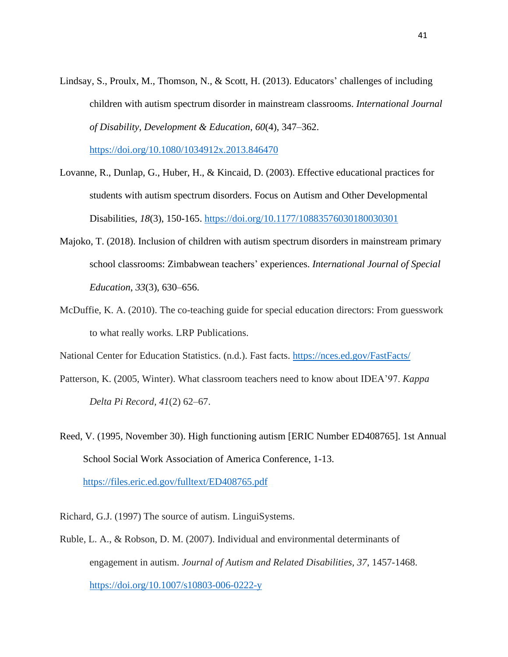Lindsay, S., Proulx, M., Thomson, N., & Scott, H. (2013). Educators' challenges of including children with autism spectrum disorder in mainstream classrooms. *International Journal of Disability, Development & Education*, *60*(4), 347–362.

<https://doi.org/10.1080/1034912x.2013.846470>

- Lovanne, R., Dunlap, G., Huber, H., & Kincaid, D. (2003). Effective educational practices for students with autism spectrum disorders. Focus on Autism and Other Developmental Disabilities*, 18*(3), 150-165.<https://doi.org/10.1177/10883576030180030301>
- Majoko, T. (2018). Inclusion of children with autism spectrum disorders in mainstream primary school classrooms: Zimbabwean teachers' experiences. *International Journal of Special Education*, *33*(3), 630–656.
- McDuffie, K. A. (2010). The co-teaching guide for special education directors: From guesswork to what really works*.* LRP Publications.

National Center for Education Statistics. (n.d.). Fast facts.<https://nces.ed.gov/FastFacts/>

- Patterson, K. (2005, Winter). What classroom teachers need to know about IDEA'97. *Kappa Delta Pi Record, 41*(2) 62–67.
- Reed, V. (1995, November 30). High functioning autism [ERIC Number ED408765]. 1st Annual School Social Work Association of America Conference, 1-13.

<https://files.eric.ed.gov/fulltext/ED408765.pdf>

Richard, G.J. (1997) The source of autism. LinguiSystems.

Ruble, L. A., & Robson, D. M. (2007). Individual and environmental determinants of engagement in autism. *Journal of Autism and Related Disabilities, 37*, 1457-1468. <https://doi.org/10.1007/s10803-006-0222-y>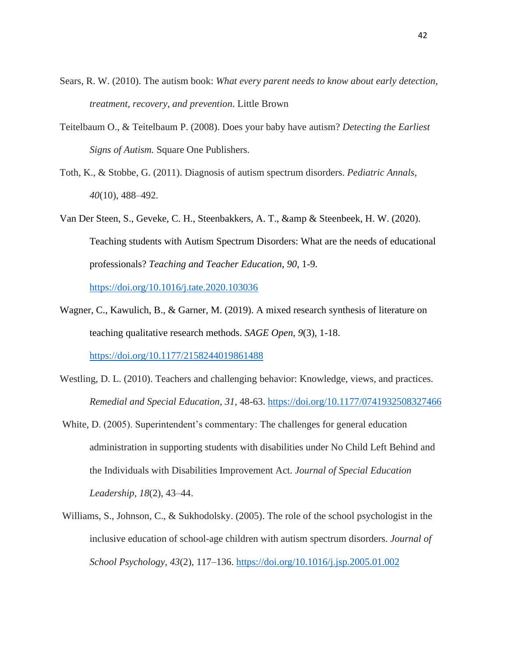- Sears, R. W. (2010). The autism book: *What every parent needs to know about early detection, treatment, recovery, and prevention*. Little Brown
- Teitelbaum O., & Teitelbaum P. (2008). Does your baby have autism? *Detecting the Earliest Signs of Autism.* Square One Publishers.
- Toth, K., & Stobbe, G. (2011). Diagnosis of autism spectrum disorders. *Pediatric Annals*, *40*(10), 488–492.
- Van Der Steen, S., Geveke, C. H., Steenbakkers, A. T., & amp & Steenbeek, H. W. (2020). Teaching students with Autism Spectrum Disorders: What are the needs of educational professionals? *Teaching and Teacher Education*, *90*, 1-9.

<https://doi.org/10.1016/j.tate.2020.103036>

Wagner, C., Kawulich, B., & Garner, M. (2019). A mixed research synthesis of literature on teaching qualitative research methods. *SAGE Open*, *9*(3), 1-18.

<https://doi.org/10.1177/2158244019861488>

- Westling, D. L. (2010). Teachers and challenging behavior: Knowledge, views, and practices. *Remedial and Special Education, 31*, 48-63. <https://doi.org/10.1177/0741932508327466>
- White, D. (2005). Superintendent's commentary: The challenges for general education administration in supporting students with disabilities under No Child Left Behind and the Individuals with Disabilities Improvement Act. *Journal of Special Education Leadership, 18*(2), 43–44.
- Williams, S., Johnson, C., & Sukhodolsky. (2005). The role of the school psychologist in the inclusive education of school-age children with autism spectrum disorders. *Journal of School Psychology, 43*(2), 117–136. <https://doi.org/10.1016/j.jsp.2005.01.002>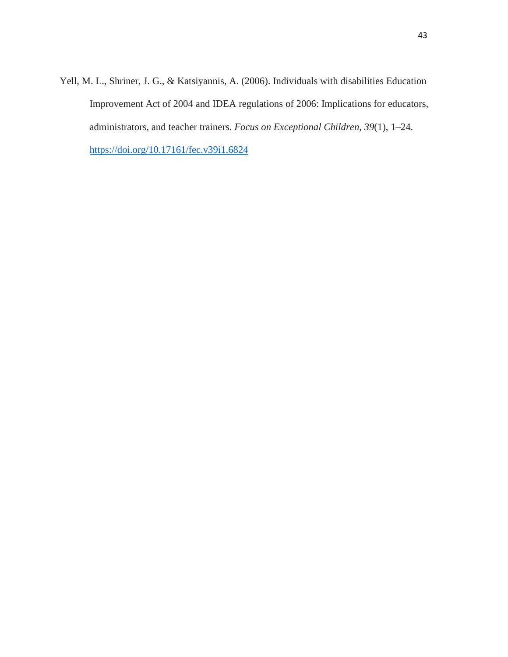Yell, M. L., Shriner, J. G., & Katsiyannis, A. (2006). Individuals with disabilities Education Improvement Act of 2004 and IDEA regulations of 2006: Implications for educators, administrators, and teacher trainers. *Focus on Exceptional Children*, *39*(1), 1–24. <https://doi.org/10.17161/fec.v39i1.6824>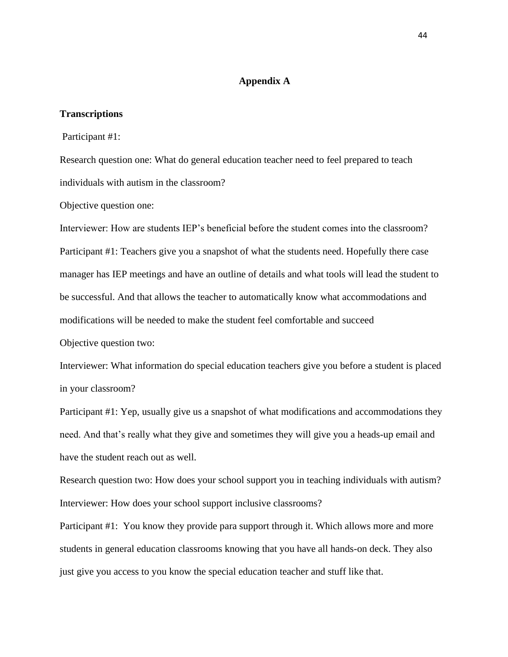## **Appendix A**

## <span id="page-49-1"></span><span id="page-49-0"></span>**Transcriptions**

Participant #1:

Research question one: What do general education teacher need to feel prepared to teach individuals with autism in the classroom?

Objective question one:

Interviewer: How are students IEP's beneficial before the student comes into the classroom? Participant #1: Teachers give you a snapshot of what the students need. Hopefully there case manager has IEP meetings and have an outline of details and what tools will lead the student to be successful. And that allows the teacher to automatically know what accommodations and modifications will be needed to make the student feel comfortable and succeed Objective question two:

Interviewer: What information do special education teachers give you before a student is placed in your classroom?

Participant #1: Yep, usually give us a snapshot of what modifications and accommodations they need. And that's really what they give and sometimes they will give you a heads-up email and have the student reach out as well.

Research question two: How does your school support you in teaching individuals with autism? Interviewer: How does your school support inclusive classrooms?

Participant #1: You know they provide para support through it. Which allows more and more students in general education classrooms knowing that you have all hands-on deck. They also just give you access to you know the special education teacher and stuff like that.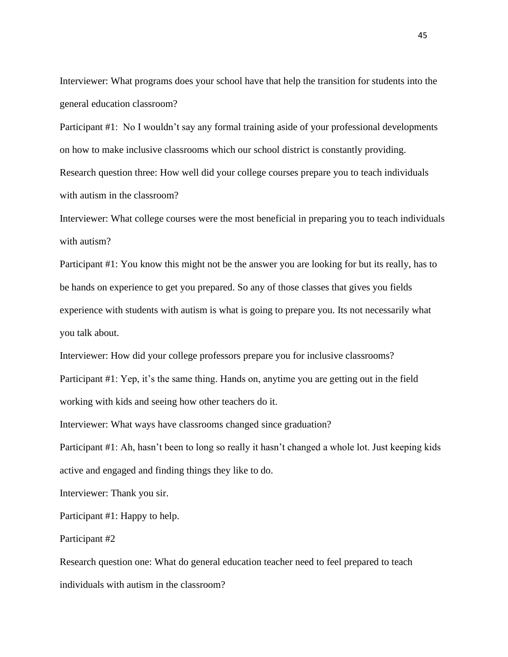Interviewer: What programs does your school have that help the transition for students into the general education classroom?

Participant #1: No I wouldn't say any formal training aside of your professional developments on how to make inclusive classrooms which our school district is constantly providing. Research question three: How well did your college courses prepare you to teach individuals with autism in the classroom?

Interviewer: What college courses were the most beneficial in preparing you to teach individuals with autism?

Participant #1: You know this might not be the answer you are looking for but its really, has to be hands on experience to get you prepared. So any of those classes that gives you fields experience with students with autism is what is going to prepare you. Its not necessarily what you talk about.

Interviewer: How did your college professors prepare you for inclusive classrooms?

Participant #1: Yep, it's the same thing. Hands on, anytime you are getting out in the field working with kids and seeing how other teachers do it.

Interviewer: What ways have classrooms changed since graduation?

Participant #1: Ah, hasn't been to long so really it hasn't changed a whole lot. Just keeping kids active and engaged and finding things they like to do.

Interviewer: Thank you sir.

Participant #1: Happy to help.

Participant #2

Research question one: What do general education teacher need to feel prepared to teach individuals with autism in the classroom?

45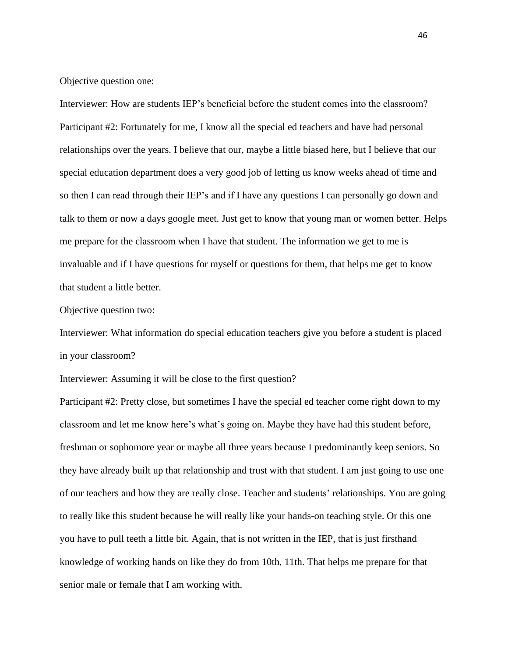Objective question one:

Interviewer: How are students IEP's beneficial before the student comes into the classroom? Participant #2: Fortunately for me, I know all the special ed teachers and have had personal relationships over the years. I believe that our, maybe a little biased here, but I believe that our special education department does a very good job of letting us know weeks ahead of time and so then I can read through their IEP's and if I have any questions I can personally go down and talk to them or now a days google meet. Just get to know that young man or women better. Helps me prepare for the classroom when I have that student. The information we get to me is invaluable and if I have questions for myself or questions for them, that helps me get to know that student a little better.

Objective question two:

Interviewer: What information do special education teachers give you before a student is placed in your classroom?

Interviewer: Assuming it will be close to the first question?

Participant #2: Pretty close, but sometimes I have the special ed teacher come right down to my classroom and let me know here's what's going on. Maybe they have had this student before, freshman or sophomore year or maybe all three years because I predominantly keep seniors. So they have already built up that relationship and trust with that student. I am just going to use one of our teachers and how they are really close. Teacher and students' relationships. You are going to really like this student because he will really like your hands-on teaching style. Or this one you have to pull teeth a little bit. Again, that is not written in the IEP, that is just firsthand knowledge of working hands on like they do from 10th, 11th. That helps me prepare for that senior male or female that I am working with.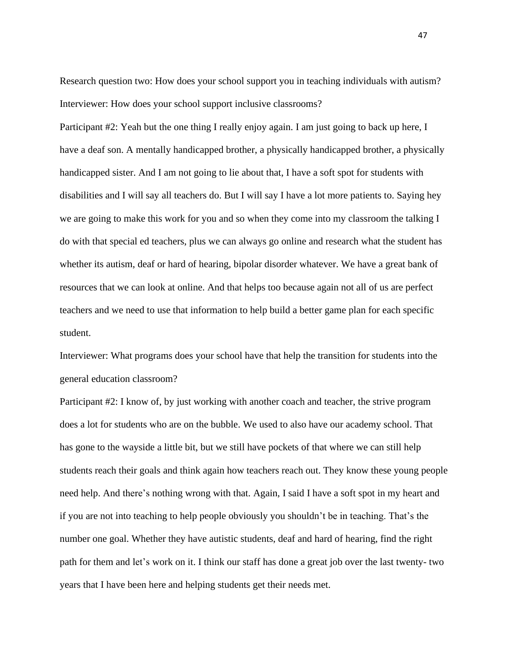Research question two: How does your school support you in teaching individuals with autism? Interviewer: How does your school support inclusive classrooms?

Participant #2: Yeah but the one thing I really enjoy again. I am just going to back up here, I have a deaf son. A mentally handicapped brother, a physically handicapped brother, a physically handicapped sister. And I am not going to lie about that, I have a soft spot for students with disabilities and I will say all teachers do. But I will say I have a lot more patients to. Saying hey we are going to make this work for you and so when they come into my classroom the talking I do with that special ed teachers, plus we can always go online and research what the student has whether its autism, deaf or hard of hearing, bipolar disorder whatever. We have a great bank of resources that we can look at online. And that helps too because again not all of us are perfect teachers and we need to use that information to help build a better game plan for each specific student.

Interviewer: What programs does your school have that help the transition for students into the general education classroom?

Participant #2: I know of, by just working with another coach and teacher, the strive program does a lot for students who are on the bubble. We used to also have our academy school. That has gone to the wayside a little bit, but we still have pockets of that where we can still help students reach their goals and think again how teachers reach out. They know these young people need help. And there's nothing wrong with that. Again, I said I have a soft spot in my heart and if you are not into teaching to help people obviously you shouldn't be in teaching. That's the number one goal. Whether they have autistic students, deaf and hard of hearing, find the right path for them and let's work on it. I think our staff has done a great job over the last twenty- two years that I have been here and helping students get their needs met.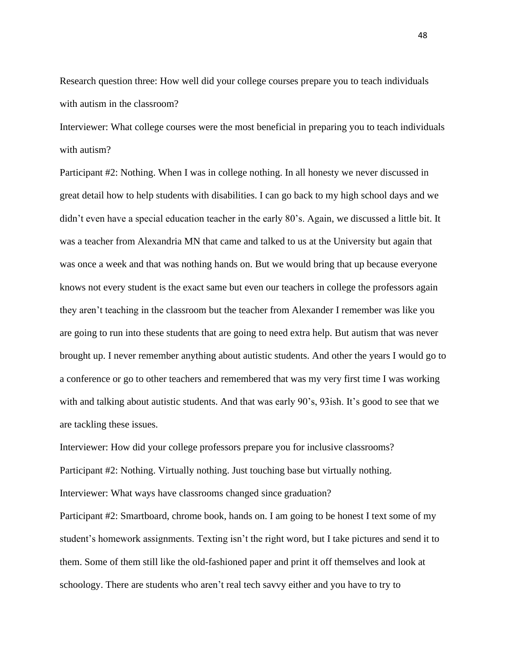Research question three: How well did your college courses prepare you to teach individuals with autism in the classroom?

Interviewer: What college courses were the most beneficial in preparing you to teach individuals with autism?

Participant #2: Nothing. When I was in college nothing. In all honesty we never discussed in great detail how to help students with disabilities. I can go back to my high school days and we didn't even have a special education teacher in the early 80's. Again, we discussed a little bit. It was a teacher from Alexandria MN that came and talked to us at the University but again that was once a week and that was nothing hands on. But we would bring that up because everyone knows not every student is the exact same but even our teachers in college the professors again they aren't teaching in the classroom but the teacher from Alexander I remember was like you are going to run into these students that are going to need extra help. But autism that was never brought up. I never remember anything about autistic students. And other the years I would go to a conference or go to other teachers and remembered that was my very first time I was working with and talking about autistic students. And that was early 90's, 93ish. It's good to see that we are tackling these issues.

Interviewer: How did your college professors prepare you for inclusive classrooms? Participant #2: Nothing. Virtually nothing. Just touching base but virtually nothing. Interviewer: What ways have classrooms changed since graduation?

Participant #2: Smartboard, chrome book, hands on. I am going to be honest I text some of my student's homework assignments. Texting isn't the right word, but I take pictures and send it to them. Some of them still like the old-fashioned paper and print it off themselves and look at schoology. There are students who aren't real tech savvy either and you have to try to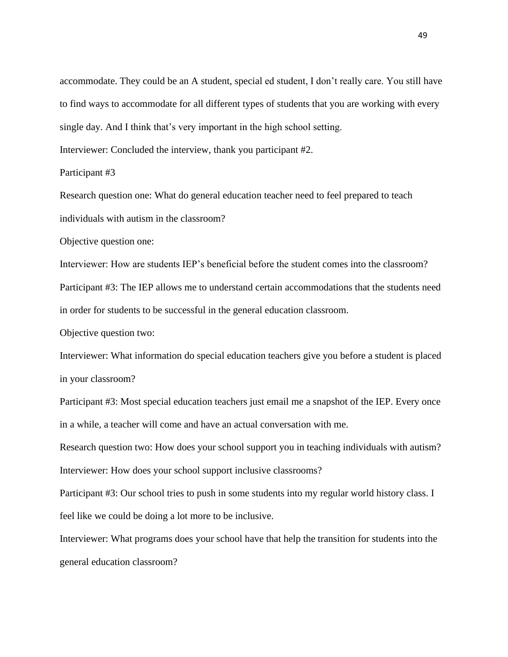accommodate. They could be an A student, special ed student, I don't really care. You still have to find ways to accommodate for all different types of students that you are working with every single day. And I think that's very important in the high school setting.

Interviewer: Concluded the interview, thank you participant #2.

Participant #3

Research question one: What do general education teacher need to feel prepared to teach individuals with autism in the classroom?

Objective question one:

Interviewer: How are students IEP's beneficial before the student comes into the classroom? Participant #3: The IEP allows me to understand certain accommodations that the students need in order for students to be successful in the general education classroom.

Objective question two:

Interviewer: What information do special education teachers give you before a student is placed in your classroom?

Participant #3: Most special education teachers just email me a snapshot of the IEP. Every once in a while, a teacher will come and have an actual conversation with me.

Research question two: How does your school support you in teaching individuals with autism? Interviewer: How does your school support inclusive classrooms?

Participant #3: Our school tries to push in some students into my regular world history class. I feel like we could be doing a lot more to be inclusive.

Interviewer: What programs does your school have that help the transition for students into the general education classroom?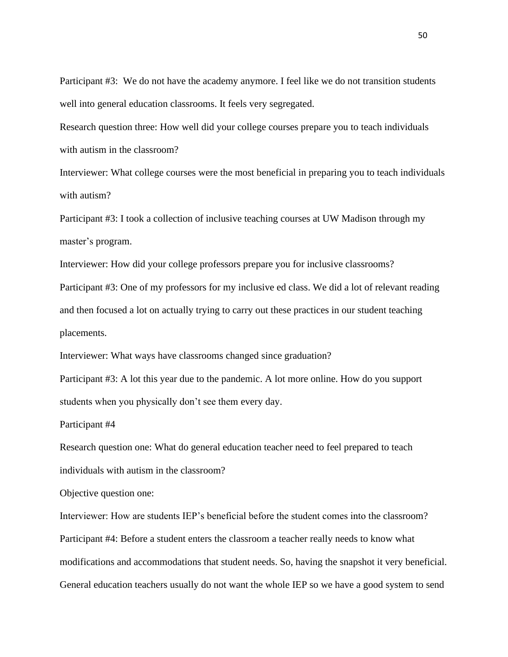Participant #3: We do not have the academy anymore. I feel like we do not transition students well into general education classrooms. It feels very segregated.

Research question three: How well did your college courses prepare you to teach individuals with autism in the classroom?

Interviewer: What college courses were the most beneficial in preparing you to teach individuals with autism?

Participant #3: I took a collection of inclusive teaching courses at UW Madison through my master's program.

Interviewer: How did your college professors prepare you for inclusive classrooms?

Participant #3: One of my professors for my inclusive ed class. We did a lot of relevant reading and then focused a lot on actually trying to carry out these practices in our student teaching placements.

Interviewer: What ways have classrooms changed since graduation?

Participant #3: A lot this year due to the pandemic. A lot more online. How do you support students when you physically don't see them every day.

Participant #4

Research question one: What do general education teacher need to feel prepared to teach individuals with autism in the classroom?

Objective question one:

Interviewer: How are students IEP's beneficial before the student comes into the classroom? Participant #4: Before a student enters the classroom a teacher really needs to know what modifications and accommodations that student needs. So, having the snapshot it very beneficial. General education teachers usually do not want the whole IEP so we have a good system to send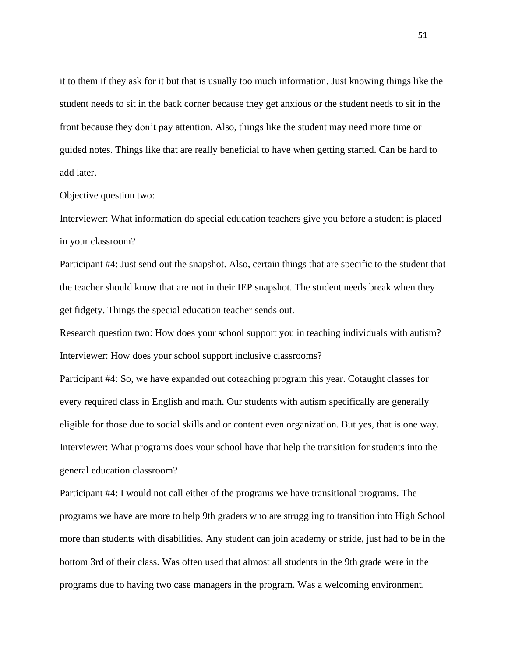it to them if they ask for it but that is usually too much information. Just knowing things like the student needs to sit in the back corner because they get anxious or the student needs to sit in the front because they don't pay attention. Also, things like the student may need more time or guided notes. Things like that are really beneficial to have when getting started. Can be hard to add later.

#### Objective question two:

Interviewer: What information do special education teachers give you before a student is placed in your classroom?

Participant #4: Just send out the snapshot. Also, certain things that are specific to the student that the teacher should know that are not in their IEP snapshot. The student needs break when they get fidgety. Things the special education teacher sends out.

Research question two: How does your school support you in teaching individuals with autism? Interviewer: How does your school support inclusive classrooms?

Participant #4: So, we have expanded out coteaching program this year. Cotaught classes for every required class in English and math. Our students with autism specifically are generally eligible for those due to social skills and or content even organization. But yes, that is one way. Interviewer: What programs does your school have that help the transition for students into the general education classroom?

Participant #4: I would not call either of the programs we have transitional programs. The programs we have are more to help 9th graders who are struggling to transition into High School more than students with disabilities. Any student can join academy or stride, just had to be in the bottom 3rd of their class. Was often used that almost all students in the 9th grade were in the programs due to having two case managers in the program. Was a welcoming environment.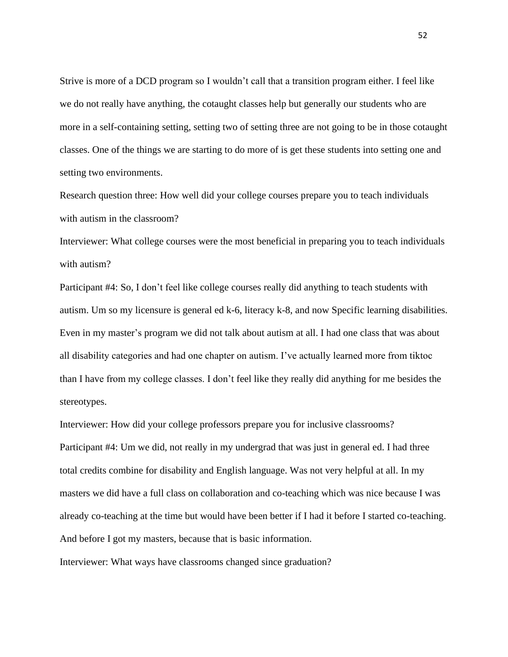Strive is more of a DCD program so I wouldn't call that a transition program either. I feel like we do not really have anything, the cotaught classes help but generally our students who are more in a self-containing setting, setting two of setting three are not going to be in those cotaught classes. One of the things we are starting to do more of is get these students into setting one and setting two environments.

Research question three: How well did your college courses prepare you to teach individuals with autism in the classroom?

Interviewer: What college courses were the most beneficial in preparing you to teach individuals with autism?

Participant #4: So, I don't feel like college courses really did anything to teach students with autism. Um so my licensure is general ed k-6, literacy k-8, and now Specific learning disabilities. Even in my master's program we did not talk about autism at all. I had one class that was about all disability categories and had one chapter on autism. I've actually learned more from tiktoc than I have from my college classes. I don't feel like they really did anything for me besides the stereotypes.

Interviewer: How did your college professors prepare you for inclusive classrooms? Participant #4: Um we did, not really in my undergrad that was just in general ed. I had three total credits combine for disability and English language. Was not very helpful at all. In my masters we did have a full class on collaboration and co-teaching which was nice because I was already co-teaching at the time but would have been better if I had it before I started co-teaching. And before I got my masters, because that is basic information.

Interviewer: What ways have classrooms changed since graduation?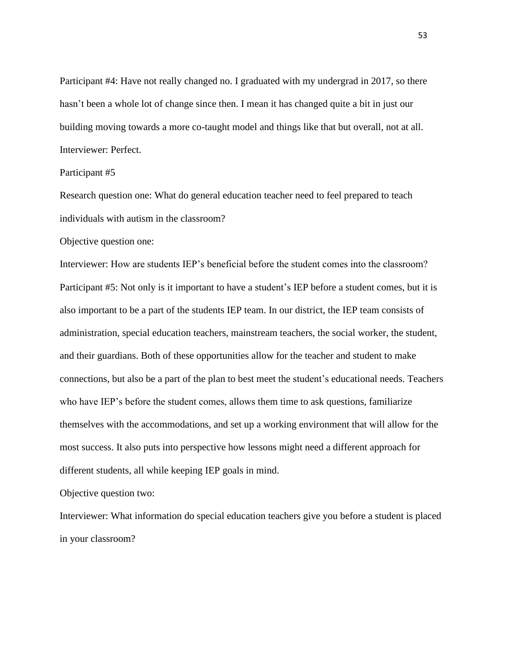Participant #4: Have not really changed no. I graduated with my undergrad in 2017, so there hasn't been a whole lot of change since then. I mean it has changed quite a bit in just our building moving towards a more co-taught model and things like that but overall, not at all. Interviewer: Perfect.

## Participant #5

Research question one: What do general education teacher need to feel prepared to teach individuals with autism in the classroom?

#### Objective question one:

Interviewer: How are students IEP's beneficial before the student comes into the classroom? Participant #5: Not only is it important to have a student's IEP before a student comes, but it is also important to be a part of the students IEP team. In our district, the IEP team consists of administration, special education teachers, mainstream teachers, the social worker, the student, and their guardians. Both of these opportunities allow for the teacher and student to make connections, but also be a part of the plan to best meet the student's educational needs. Teachers who have IEP's before the student comes, allows them time to ask questions, familiarize themselves with the accommodations, and set up a working environment that will allow for the most success. It also puts into perspective how lessons might need a different approach for different students, all while keeping IEP goals in mind.

Objective question two:

Interviewer: What information do special education teachers give you before a student is placed in your classroom?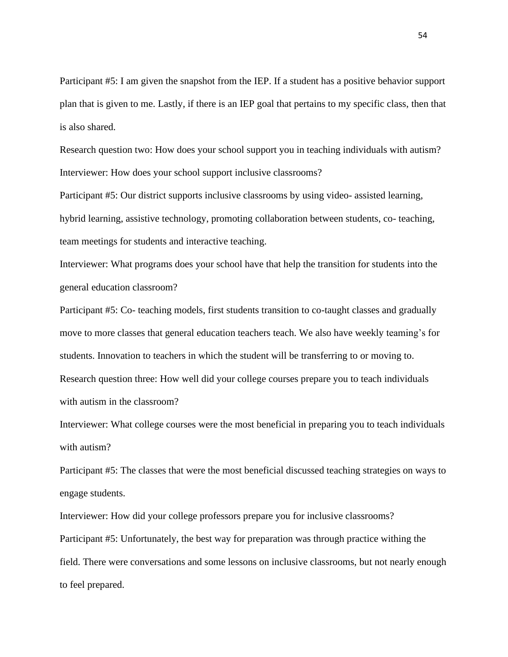Participant #5: I am given the snapshot from the IEP. If a student has a positive behavior support plan that is given to me. Lastly, if there is an IEP goal that pertains to my specific class, then that is also shared.

Research question two: How does your school support you in teaching individuals with autism? Interviewer: How does your school support inclusive classrooms?

Participant #5: Our district supports inclusive classrooms by using video- assisted learning, hybrid learning, assistive technology, promoting collaboration between students, co- teaching, team meetings for students and interactive teaching.

Interviewer: What programs does your school have that help the transition for students into the general education classroom?

Participant #5: Co- teaching models, first students transition to co-taught classes and gradually move to more classes that general education teachers teach. We also have weekly teaming's for students. Innovation to teachers in which the student will be transferring to or moving to. Research question three: How well did your college courses prepare you to teach individuals with autism in the classroom?

Interviewer: What college courses were the most beneficial in preparing you to teach individuals with autism?

Participant #5: The classes that were the most beneficial discussed teaching strategies on ways to engage students.

Interviewer: How did your college professors prepare you for inclusive classrooms? Participant #5: Unfortunately, the best way for preparation was through practice withing the field. There were conversations and some lessons on inclusive classrooms, but not nearly enough to feel prepared.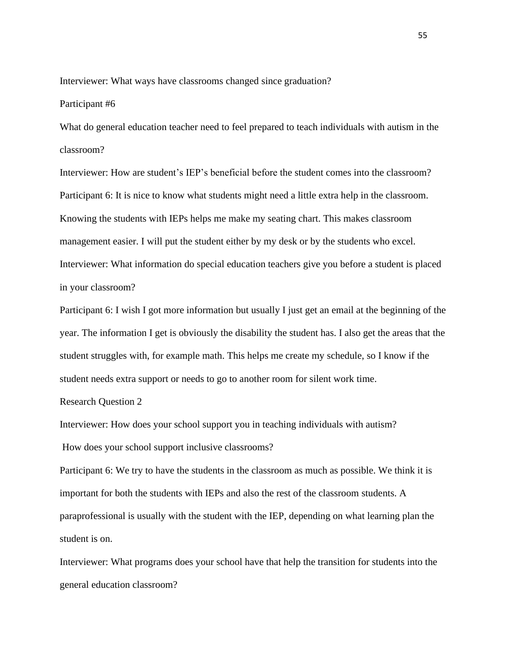Interviewer: What ways have classrooms changed since graduation?

#### Participant #6

What do general education teacher need to feel prepared to teach individuals with autism in the classroom?

Interviewer: How are student's IEP's beneficial before the student comes into the classroom? Participant 6: It is nice to know what students might need a little extra help in the classroom. Knowing the students with IEPs helps me make my seating chart. This makes classroom management easier. I will put the student either by my desk or by the students who excel. Interviewer: What information do special education teachers give you before a student is placed in your classroom?

Participant 6: I wish I got more information but usually I just get an email at the beginning of the year. The information I get is obviously the disability the student has. I also get the areas that the student struggles with, for example math. This helps me create my schedule, so I know if the student needs extra support or needs to go to another room for silent work time.

## Research Question 2

Interviewer: How does your school support you in teaching individuals with autism?

How does your school support inclusive classrooms?

Participant 6: We try to have the students in the classroom as much as possible. We think it is important for both the students with IEPs and also the rest of the classroom students. A paraprofessional is usually with the student with the IEP, depending on what learning plan the student is on.

Interviewer: What programs does your school have that help the transition for students into the general education classroom?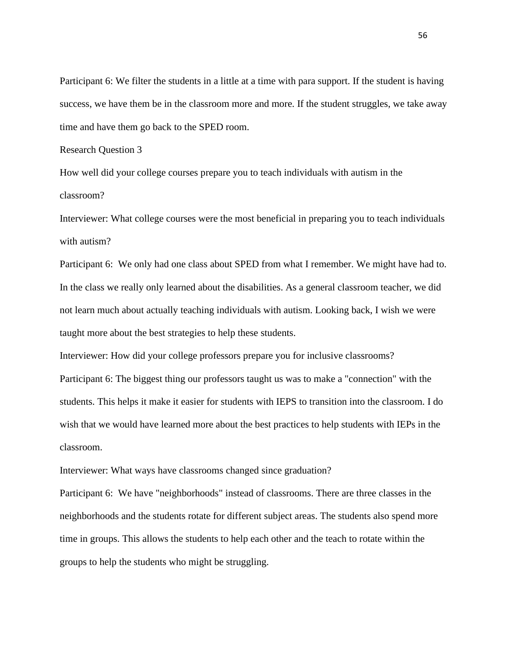Participant 6: We filter the students in a little at a time with para support. If the student is having success, we have them be in the classroom more and more. If the student struggles, we take away time and have them go back to the SPED room.

Research Question 3

How well did your college courses prepare you to teach individuals with autism in the classroom?

Interviewer: What college courses were the most beneficial in preparing you to teach individuals with autism?

Participant 6: We only had one class about SPED from what I remember. We might have had to. In the class we really only learned about the disabilities. As a general classroom teacher, we did not learn much about actually teaching individuals with autism. Looking back, I wish we were taught more about the best strategies to help these students.

Interviewer: How did your college professors prepare you for inclusive classrooms?

Participant 6: The biggest thing our professors taught us was to make a "connection" with the students. This helps it make it easier for students with IEPS to transition into the classroom. I do wish that we would have learned more about the best practices to help students with IEPs in the classroom.

Interviewer: What ways have classrooms changed since graduation?

Participant 6: We have "neighborhoods" instead of classrooms. There are three classes in the neighborhoods and the students rotate for different subject areas. The students also spend more time in groups. This allows the students to help each other and the teach to rotate within the groups to help the students who might be struggling.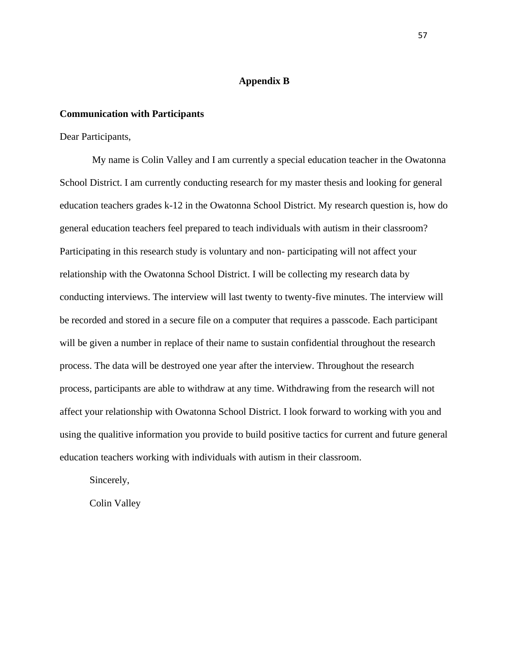## **Appendix B**

### <span id="page-62-1"></span><span id="page-62-0"></span>**Communication with Participants**

Dear Participants,

My name is Colin Valley and I am currently a special education teacher in the Owatonna School District. I am currently conducting research for my master thesis and looking for general education teachers grades k-12 in the Owatonna School District. My research question is, how do general education teachers feel prepared to teach individuals with autism in their classroom? Participating in this research study is voluntary and non- participating will not affect your relationship with the Owatonna School District. I will be collecting my research data by conducting interviews. The interview will last twenty to twenty-five minutes. The interview will be recorded and stored in a secure file on a computer that requires a passcode. Each participant will be given a number in replace of their name to sustain confidential throughout the research process. The data will be destroyed one year after the interview. Throughout the research process, participants are able to withdraw at any time. Withdrawing from the research will not affect your relationship with Owatonna School District. I look forward to working with you and using the qualitive information you provide to build positive tactics for current and future general education teachers working with individuals with autism in their classroom.

Sincerely,

Colin Valley